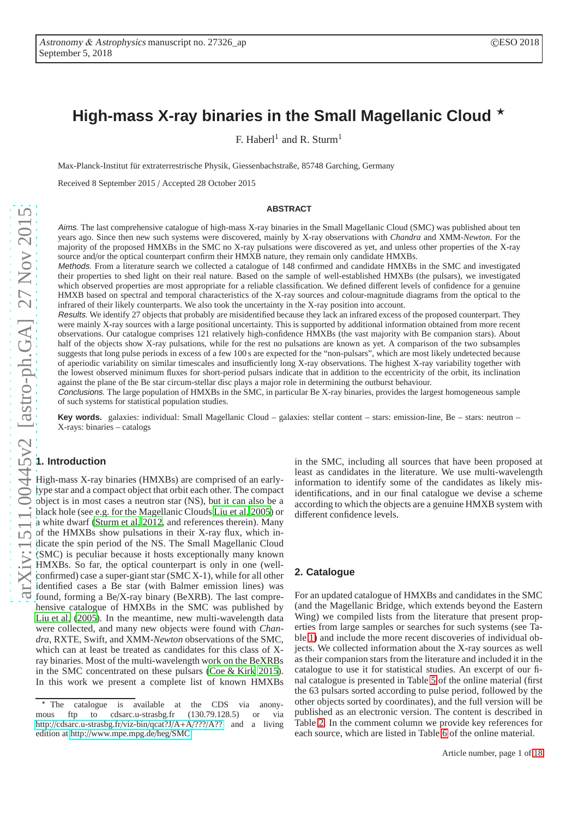# High-mass X-ray binaries in the Small Magellanic Cloud  $\star$

F. Haberl<sup>1</sup> and R. Sturm<sup>1</sup>

Max-Planck-Institut für extraterrestrische Physik, Giessenbachstraße, 85748 Garching, Germany

Received 8 September 2015 / Accepted 28 October 2015

#### **ABSTRACT**

Aims. The last comprehensive catalogue of high-mass X-ray binaries in the Small Magellanic Cloud (SMC) was published about ten years ago. Since then new such systems were discovered, mainly by X-ray observations with *Chandra* and XMM-*Newton*. For the majority of the proposed HMXBs in the SMC no X-ray pulsations were discovered as yet, and unless other properties of the X-ray source and/or the optical counterpart confirm their HMXB nature, they remain only candidate HMXBs.

Methods. From a literature search we collected a catalogue of 148 confirmed and candidate HMXBs in the SMC and investigated their properties to shed light on their real nature. Based on the sample of well-established HMXBs (the pulsars), we investigated which observed properties are most appropriate for a reliable classification. We defined different levels of confidence for a genuine HMXB based on spectral and temporal characteristics of the X-ray sources and colour-magnitude diagrams from the optical to the infrared of their likely counterparts. We also took the uncertainty in the X-ray position into account.

Results. We identify 27 objects that probably are misidentified because they lack an infrared excess of the proposed counterpart. They were mainly X-ray sources with a large positional uncertainty. This is supported by additional information obtained from more recent observations. Our catalogue comprises 121 relatively high-confidence HMXBs (the vast majority with Be companion stars). About half of the objects show X-ray pulsations, while for the rest no pulsations are known as yet. A comparison of the two subsamples suggests that long pulse periods in excess of a few 100 s are expected for the "non-pulsars", which are most likely undetected because of aperiodic variability on similar timescales and insufficiently long X-ray observations. The highest X-ray variability together with the lowest observed minimum fluxes for short-period pulsars indicate that in addition to the eccentricity of the orbit, its inclination against the plane of the Be star circum-stellar disc plays a major role in determining the outburst behaviour.

Conclusions. The large population of HMXBs in the SMC, in particular Be X-ray binaries, provides the largest homogeneous sample of such systems for statistical population studies.

Key words. galaxies: individual: Small Magellanic Cloud – galaxies: stellar content – stars: emission-line, Be – stars: neutron – X-rays: binaries – catalogs

## **1. Introduction**

High-mass X-ray binaries (HMXBs) are comprised of an earlytype star and a compact object that orbit each other. The compact object is in most cases a neutron star (NS), but it can also be a black hole (see e.g. for the Magellanic Clouds [Liu et al. 2005](#page-11-0)) or a white dwarf [\(Sturm et al. 2012,](#page-11-1) and references therein). Many of the HMXBs show pulsations in their X-ray flux, which indicate the spin period of the NS. The Small Magellanic Cloud (SMC) is peculiar because it hosts exceptionally many known HMXBs. So far, the optical counterpart is only in one (wellconfirmed) case a super-giant star (SMC X-1), while for all other identified cases a Be star (with Balmer emission lines) was found, forming a Be/X-ray binary (BeXRB). The last comprehensive catalogue of HMXBs in the SMC was published by [Liu et al.](#page-11-0) [\(2005\)](#page-11-0). In the meantime, new multi-wavelength data were collected, and many new objects were found with *Chandra*, RXTE, Swift, and XMM-*Newton* observations of the SMC, which can at least be treated as candidates for this class of Xray binaries. Most of the multi-wavelength work on the BeXRBs in the SMC concentrated on these pulsars [\(Coe & Kirk 2015](#page-11-2)). In this work we present a complete list of known HMXBs in the SMC, including all sources that have been proposed at least as candidates in the literature. We use multi-wavelength information to identify some of the candidates as likely misidentifications, and in our final catalogue we devise a scheme according to which the objects are a genuine HMXB system with different confidence levels.

### **2. Catalogue**

For an updated catalogue of HMXBs and candidates in the SMC (and the Magellanic Bridge, which extends beyond the Eastern Wing) we compiled lists from the literature that present properties from large samples or searches for such systems (see Table [1\)](#page-1-0) and include the more recent discoveries of individual objects. We collected information about the X-ray sources as well as their companion stars from the literature and included it in the catalogue to use it for statistical studies. An excerpt of our final catalogue is presented in Table [5](#page-13-0) of the online material (first the 63 pulsars sorted according to pulse period, followed by the other objects sorted by coordinates), and the full version will be published as an electronic version. The content is described in Table [2.](#page-2-0) In the comment column we provide key references for each source, which are listed in Table [6](#page-17-0) of the online material.

<sup>\*</sup> The catalogue is available at the CDS via anony-<br>mous ftp to cdsarc.u-strasbg.fr (130.79.128.5) or via mous ftp to cdsarc.u-strasbg.fr (130.79.128.5) or via http://[cdsarc.u-strasbg.fr](http://cdsarc.u-strasbg.fr/viz-bin/qcat?J/A+A/???/A??)/viz-bin/qcat?J/A+A/???/A?? and a living edition at http://[www.mpe.mpg.de](http://www.mpe.mpg.de/heg/SMC)/heg/SMC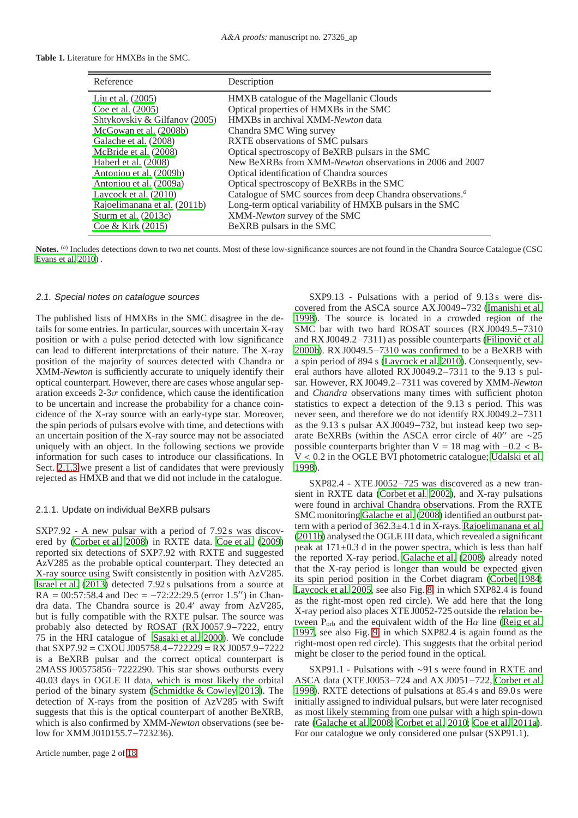#### **Table 1.** Literature for HMXBs in the SMC.

<span id="page-1-0"></span>

| Reference                          | Description                                                                  |
|------------------------------------|------------------------------------------------------------------------------|
| Liu et al. $(2005)$                | HMXB catalogue of the Magellanic Clouds                                      |
| Coe et al. (2005)                  | Optical properties of HMXBs in the SMC                                       |
| Shtykovskiy & Gilfanov (2005)      | HMXBs in archival XMM-Newton data                                            |
| McGowan et al. (2008b)             | Chandra SMC Wing survey                                                      |
| Galache et al. (2008)              | RXTE observations of SMC pulsars                                             |
| McBride et al. (2008)              | Optical spectroscopy of BeXRB pulsars in the SMC                             |
| Haberl et al. (2008)               | New BeXRBs from XMM-Newton observations in 2006 and 2007                     |
| Antoniou et al. (2009b)            | Optical identification of Chandra sources                                    |
| Antoniou et al. (2009a)            | Optical spectroscopy of BeXRBs in the SMC                                    |
| Laycock et al. (2010)              | Catalogue of SMC sources from deep Chandra observations. <sup><i>a</i></sup> |
| Rajoelimanana et al. (2011b)       | Long-term optical variability of HMXB pulsars in the SMC                     |
| Sturm et al. (2013c)               | XMM-Newton survey of the SMC                                                 |
| $\text{Coe} \& \text{Kirk} (2015)$ | BeXRB pulsars in the SMC                                                     |

Notes. (*a*) Includes detections down to two net counts. Most of these low-significance sources are not found in the Chandra Source Catalogue (CSC [Evans et al. 2010](#page-11-11)) .

#### 2.1. Special notes on catalogue sources

The published lists of HMXBs in the SMC disagree in the details for some entries. In particular, sources with uncertain X-ray position or with a pulse period detected with low significance can lead to different interpretations of their nature. The X-ray position of the majority of sources detected with Chandra or XMM-*Newton* is sufficiently accurate to uniquely identify their optical counterpart. However, there are cases whose angular separation exceeds  $2-3\sigma$  confidence, which cause the identification to be uncertain and increase the probability for a chance coincidence of the X-ray source with an early-type star. Moreover, the spin periods of pulsars evolve with time, and detections with an uncertain position of the X-ray source may not be associated uniquely with an object. In the following sections we provide information for such cases to introduce our classifications. In Sect. [2.1.3](#page-3-0) we present a list of candidates that were previously rejected as HMXB and that we did not include in the catalogue.

#### <span id="page-1-1"></span>2.1.1. Update on individual BeXRB pulsars

SXP7.92 - A new pulsar with a period of 7.92s was discovered by [\(Corbet et al. 2008\)](#page-11-12) in RXTE data. [Coe et al.](#page-11-13) [\(2009\)](#page-11-13) reported six detections of SXP7.92 with RXTE and suggested AzV285 as the probable optical counterpart. They detected an X-ray source using Swift consistently in position with AzV285. [Israel et al. \(2013\)](#page-11-14) detected 7.92 s pulsations from a source at RA =  $00:57:58.4$  and Dec =  $-72:22:29.5$  (error 1.5<sup>''</sup>) in Chandra data. The Chandra source is 20.4′ away from AzV285, but is fully compatible with the RXTE pulsar. The source was probably also detected by ROSAT (RX J0057.9−7222, entry 75 in the HRI catalogue of [Sasaki et al. 2000\)](#page-11-15). We conclude that SXP7.92 = CXOU J005758.4−722229 = RX J0057.9−7222 is a BeXRB pulsar and the correct optical counterpart is 2MASS J00575856−7222290. This star shows outbursts every 40.03 days in OGLE II data, which is most likely the orbital period of the binary system [\(Schmidtke & Cowley 2013](#page-11-16)). The detection of X-rays from the position of AzV285 with Swift suggests that this is the optical counterpart of another BeXRB, which is also confirmed by XMM-*Newton* observations (see below for XMM J010155.7−723236).

SXP9.13 - Pulsations with a period of 9.13s were discovered from the ASCA source AX J0049−732 [\(Imanishi et al.](#page-11-17) [1998\)](#page-11-17). The source is located in a crowded region of the SMC bar with two hard ROSAT sources (RX J0049.5−7310 and RX J0049.2−7311) as possible counterparts [\(Filipovic et al.](#page-11-18) ´ [2000b\)](#page-11-18). RX J0049.5−7310 was confirmed to be a BeXRB with a spin period of 894 s [\(Laycock et al. 2010\)](#page-11-8). Consequently, several authors have alloted RX J0049.2−7311 to the 9.13 s pulsar. However, RX J0049.2−7311 was covered by XMM-*Newton* and *Chandra* observations many times with sufficient photon statistics to expect a detection of the 9.13 s period. This was never seen, and therefore we do not identify RX J0049.2−7311 as the 9.13 s pulsar AX J0049−732, but instead keep two separate BeXRBs (within the ASCA error circle of 40′′ are ∼25 possible counterparts brighter than  $V = 18$  mag with  $-0.2 < B$ -V < 0.2 in the OGLE BVI photometric catalogue; [Udalski et al.](#page-11-19) [1998\)](#page-11-19).

SXP82.4 - XTE J0052−725 was discovered as a new transient in RXTE data [\(Corbet et al. 2002\)](#page-11-20), and X-ray pulsations were found in archival Chandra observations. From the RXTE SMC monitoring [Galache et al. \(2008\)](#page-11-5) identified an outburst pattern with a period of 362.3±4.1 d in X-rays. [Rajoelimanana et al.](#page-11-9) [\(2011b\)](#page-11-9) analysed the OGLE III data, which revealed a significant peak at 171±0.3 d in the power spectra, which is less than half the reported X-ray period. [Galache et al. \(2008](#page-11-5)) already noted that the X-ray period is longer than would be expected given its spin period position in the Corbet diagram [\(Corbet 1984;](#page-11-21) [Laycock et al. 2005](#page-11-22), see also Fig. [8,](#page-10-3) in which SXP82.4 is found as the right-most open red circle). We add here that the long X-ray period also places XTE J0052-725 outside the relation between  $P_{\text{orb}}$  and the equivalent width of the H $\alpha$  line [\(Reig et al.](#page-11-23) [1997,](#page-11-23) see also Fig. [9,](#page-10-4) in which SXP82.4 is again found as the right-most open red circle). This suggests that the orbital period might be closer to the period found in the optical.

SXP91.1 - Pulsations with ∼91 s were found in RXTE and ASCA data (XTE J0053−724 and AX J0051−722, [Corbet et al.](#page-11-24) [1998\)](#page-11-24). RXTE detections of pulsations at 85.4 s and 89.0 s were initially assigned to individual pulsars, but were later recognised as most likely stemming from one pulsar with a high spin-down rate [\(Galache et al. 2008;](#page-11-5) [Corbet et al. 2010;](#page-11-25) [Coe et al. 2011a\)](#page-10-5). For our catalogue we only considered one pulsar (SXP91.1).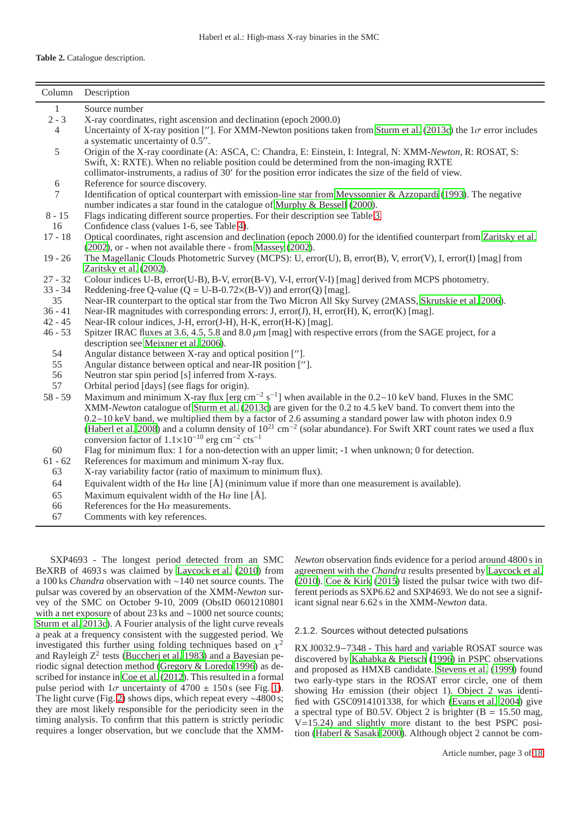<span id="page-2-0"></span>

| Column       | Description                                                                                                                         |
|--------------|-------------------------------------------------------------------------------------------------------------------------------------|
| $\mathbf{1}$ | Source number                                                                                                                       |
| $2 - 3$      | X-ray coordinates, right ascension and declination (epoch 2000.0)                                                                   |
| 4            | Uncertainty of X-ray position [ $'$ ]. For XMM-Newton positions taken from Sturm et al. (2013c) the $1\sigma$ error includes        |
|              | a systematic uncertainty of 0.5".                                                                                                   |
| 5            | Origin of the X-ray coordinate (A: ASCA, C: Chandra, E: Einstein, I: Integral, N: XMM-Newton, R: ROSAT, S:                          |
|              | Swift, X: RXTE). When no reliable position could be determined from the non-imaging RXTE                                            |
|              | collimator-instruments, a radius of 30' for the position error indicates the size of the field of view.                             |
| $6\,$        | Reference for source discovery.                                                                                                     |
| 7            | Identification of optical counterpart with emission-line star from Meyssonnier & Azzopardi (1993). The negative                     |
|              | number indicates a star found in the catalogue of Murphy & Bessell (2000).                                                          |
| $8 - 15$     | Flags indicating different source properties. For their description see Table 3.                                                    |
| 16           | Confidence class (values 1-6, see Table 4).                                                                                         |
| $17 - 18$    | Optical coordinates, right ascension and declination (epoch 2000.0) for the identified counterpart from Zaritsky et al.             |
|              | (2002), or - when not available there - from Massey (2002).                                                                         |
| $19 - 26$    | The Magellanic Clouds Photometric Survey (MCPS): U, error(U), B, error(B), V, error(V), I, error(I) [mag] from                      |
|              | Zaritsky et al. (2002).                                                                                                             |
| $27 - 32$    | Colour indices U-B, error(U-B), B-V, error(B-V), V-I, error(V-I) [mag] derived from MCPS photometry.                                |
| $33 - 34$    | Reddening-free Q-value ( $Q = U-B-0.72\times(B-V)$ ) and error(Q) [mag].                                                            |
| 35           | Near-IR counterpart to the optical star from the Two Micron All Sky Survey (2MASS, Skrutskie et al. 2006).                          |
| $36 - 41$    | Near-IR magnitudes with corresponding errors: J, error(J), H, error(H), K, error(K) [mag].                                          |
| $42 - 45$    | Near-IR colour indices, J-H, error(J-H), H-K, error(H-K) [mag].                                                                     |
| $46 - 53$    | Spitzer IRAC fluxes at 3.6, 4.5, 5.8 and 8.0 $\mu$ m [mag] with respective errors (from the SAGE project, for a                     |
|              | description see Meixner et al. 2006).                                                                                               |
| 54           | Angular distance between X-ray and optical position ["].                                                                            |
| 55           | Angular distance between optical and near-IR position ["].                                                                          |
| 56           | Neutron star spin period [s] inferred from X-rays.                                                                                  |
| 57           | Orbital period [days] (see flags for origin).                                                                                       |
| $58 - 59$    | Maximum and minimum X-ray flux [erg cm <sup>-2</sup> s <sup>-1</sup> ] when available in the 0.2–10 keV band. Fluxes in the SMC     |
|              | XMM-Newton catalogue of Sturm et al. (2013c) are given for the 0.2 to 4.5 keV band. To convert them into the                        |
|              | $0.2-10$ keV band, we multiplied them by a factor of 2.6 assuming a standard power law with photon index 0.9                        |
|              | (Haberl et al. 2008) and a column density of $10^{21}$ cm <sup>-2</sup> (solar abundance). For Swift XRT count rates we used a flux |
|              | conversion factor of $1.1 \times 10^{-10}$ erg cm <sup>-2</sup> cts <sup>-1</sup>                                                   |
| 60           | Flag for minimum flux: 1 for a non-detection with an upper limit; -1 when unknown; 0 for detection.                                 |
| $61 - 62$    | References for maximum and minimum X-ray flux.                                                                                      |
| 63           | X-ray variability factor (ratio of maximum to minimum flux).                                                                        |
| 64           | Equivalent width of the H $\alpha$ line [Å] (minimum value if more than one measurement is available).                              |
| 65           | Maximum equivalent width of the H $\alpha$ line [Å].                                                                                |
| 66           | References for the $H\alpha$ measurements.                                                                                          |
| 67           | Comments with key references.                                                                                                       |
|              |                                                                                                                                     |

SXP4693 - The longest period detected from an SMC BeXRB of 4693s was claimed by [Laycock et al.](#page-11-8) [\(2010\)](#page-11-8) from a 100 ks *Chandra* observation with ∼140 net source counts. The pulsar was covered by an observation of the XMM-*Newton* survey of the SMC on October 9-10, 2009 (ObsID 0601210801 with a net exposure of about 23 ks and ∼1000 net source counts; [Sturm et al. 2013c\)](#page-11-10). A Fourier analysis of the light curve reveals a peak at a frequency consistent with the suggested period. We investigated this further using folding techniques based on  $\chi^2$ and Rayleigh Z<sup>2</sup> tests [\(Buccheri et al. 1983\)](#page-10-6) and a Bayesian periodic signal detection method [\(Gregory & Loredo 1996](#page-11-31)) as described for instance in [Coe et al.](#page-10-7) [\(2012\)](#page-10-7). This resulted in a formal pulse period with  $1\sigma$  uncertainty of 4700  $\pm$  150s (see Fig. [1\)](#page-4-0). The light curve (Fig. [2\)](#page-4-1) shows dips, which repeat every ∼4800 s; they are most likely responsible for the periodicity seen in the timing analysis. To confirm that this pattern is strictly periodic requires a longer observation, but we conclude that the XMM- *Newton* observation finds evidence for a period around 4800 s in agreement with the *Chandra* results presented by [Laycock et al.](#page-11-8) [\(2010\)](#page-11-8). [Coe & Kirk](#page-11-2) [\(2015\)](#page-11-2) listed the pulsar twice with two different periods as SXP6.62 and SXP4693. We do not see a significant signal near 6.62 s in the XMM-*Newton* data.

## 2.1.2. Sources without detected pulsations

RX J0032.9−7348 - This hard and variable ROSAT source was discovered by [Kahabka & Pietsch \(1996](#page-11-32)) in PSPC observations and proposed as HMXB candidate. [Stevens et al.](#page-11-33) [\(1999\)](#page-11-33) found two early-type stars in the ROSAT error circle, one of them showing H $\alpha$  emission (their object 1). Object 2 was identified with GSC0914101338, for which [\(Evans et al. 2004\)](#page-11-34) give a spectral type of B0.5V. Object 2 is brighter  $(B = 15.50$  mag, V=15.24) and slightly more distant to the best PSPC position [\(Haberl & Sasaki 2000\)](#page-11-35). Although object 2 cannot be com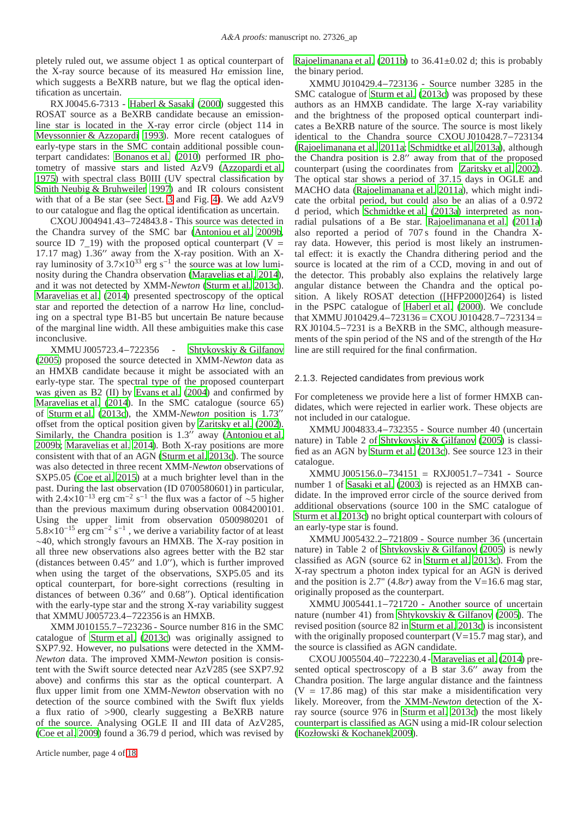pletely ruled out, we assume object 1 as optical counterpart of the X-ray source because of its measured  $H\alpha$  emission line, which suggests a BeXRB nature, but we flag the optical identification as uncertain.

RX J0045.6-7313 - [Haberl & Sasaki](#page-11-35) [\(2000\)](#page-11-35) suggested this ROSAT source as a BeXRB candidate because an emissionline star is located in the X-ray error circle (object 114 in [Meyssonnier & Azzopardi 1993\)](#page-11-26). More recent catalogues of early-type stars in the SMC contain additional possible counterpart candidates: [Bonanos et al. \(2010\)](#page-10-8) performed IR photometry of massive stars and listed AzV9 [\(Azzopardi et al.](#page-10-9) [1975\)](#page-10-9) with spectral class B0III (UV spectral classification by [Smith Neubig & Bruhweiler 1997\)](#page-11-36) and IR colours consistent with that of a Be star (see Sect. [3](#page-5-2) and Fig. [4\)](#page-7-0). We add AzV9 to our catalogue and flag the optical identification as uncertain.

CXOU J004941.43−724843.8 - This source was detected in the Chandra survey of the SMC bar [\(Antoniou et al. 2009b,](#page-10-1) source ID 7\_19) with the proposed optical counterpart (V = 17.17 mag) 1.36′′ away from the X-ray position. With an Xray luminosity of  $3.7 \times 10^{33}$  erg s<sup>-1</sup> the source was at low luminosity during the Chandra observation [\(Maravelias et al. 2014](#page-11-37)), and it was not detected by XMM-*Newton* [\(Sturm et al. 2013c](#page-11-10)). [Maravelias et al. \(2014](#page-11-37)) presented spectroscopy of the optical star and reported the detection of a narrow  $H\alpha$  line, concluding on a spectral type B1-B5 but uncertain Be nature because of the marginal line width. All these ambiguities make this case inconclusive.

XMMU J005723.4−722356 - [Shtykovskiy & Gilfanov](#page-11-3) [\(2005](#page-11-3)) proposed the source detected in XMM-*Newton* data as an HMXB candidate because it might be associated with an early-type star. The spectral type of the proposed counterpart was given as B2 (II) by [Evans et al.](#page-11-34) [\(2004\)](#page-11-34) and confirmed by [Maravelias et al. \(2014\)](#page-11-37). In the SMC catalogue (source 65) of [Sturm et al.](#page-11-10) [\(2013c\)](#page-11-10), the XMM-*Newton* position is 1.73′′ offset from the optical position given by [Zaritsky et al. \(2002](#page-12-0)). Similarly, the Chandra position is 1.3<sup>"</sup> away [\(Antoniou et al.](#page-10-1) [2009b;](#page-10-1) [Maravelias et al. 2014\)](#page-11-37). Both X-ray positions are more consistent with that of an AGN [\(Sturm et al. 2013c\)](#page-11-10). The source was also detected in three recent XMM-*Newton* observations of SXP5.05 [\(Coe et al. 2015\)](#page-10-10) at a much brighter level than in the past. During the last observation (ID 0700580601) in particular, with 2.4×10<sup>-13</sup> erg cm<sup>-2</sup> s<sup>-1</sup> the flux was a factor of ~5 higher than the previous maximum during observation 0084200101. Using the upper limit from observation 0500980201 of  $5.8\times10^{-15}$  erg cm<sup>-2</sup> s<sup>-1</sup>, we derive a variability factor of at least ∼40, which strongly favours an HMXB. The X-ray position in all three new observations also agrees better with the B2 star (distances between 0.45′′ and 1.0′′), which is further improved when using the target of the observations, SXP5.05 and its optical counterpart, for bore-sight corrections (resulting in distances of between 0.36′′ and 0.68′′). Optical identification with the early-type star and the strong X-ray variability suggest that XMMU J005723.4−722356 is an HMXB.

XMM J010155.7−723236 - Source number 816 in the SMC catalogue of [Sturm et al. \(2013c\)](#page-11-10) was originally assigned to SXP7.92. However, no pulsations were detected in the XMM-*Newton* data. The improved XMM-*Newton* position is consistent with the Swift source detected near AzV285 (see SXP7.92 above) and confirms this star as the optical counterpart. A flux upper limit from one XMM-*Newton* observation with no detection of the source combined with the Swift flux yields a flux ratio of >900, clearly suggesting a BeXRB nature of the source. Analysing OGLE II and III data of AzV285, [\(Coe et al. 2009\)](#page-11-13) found a 36.79 d period, which was revised by

[Rajoelimanana et al.](#page-11-9) [\(2011b\)](#page-11-9) to 36.41±0.02 d; this is probably the binary period.

XMMU J010429.4−723136 - Source number 3285 in the SMC catalogue of [Sturm et al. \(2013c\)](#page-11-10) was proposed by these authors as an HMXB candidate. The large X-ray variability and the brightness of the proposed optical counterpart indicates a BeXRB nature of the source. The source is most likely identical to the Chandra source CXOU J010428.7−723134 [\(Rajoelimanana et al. 2011a](#page-11-38); [Schmidtke et al. 2013a\)](#page-11-39), although the Chandra position is 2.8′′ away from that of the proposed counterpart (using the coordinates from [Zaritsky et al. 2002\)](#page-12-0). The optical star shows a period of 37.15 days in OGLE and MACHO data [\(Rajoelimanana et al. 2011a](#page-11-38)), which might indicate the orbital period, but could also be an alias of a 0.972 d period, which [Schmidtke et al. \(2013a\)](#page-11-39) interpreted as nonradial pulsations of a Be star. [Rajoelimanana et al.](#page-11-38) [\(2011a](#page-11-38)) also reported a period of 707 s found in the Chandra Xray data. However, this period is most likely an instrumental effect: it is exactly the Chandra dithering period and the source is located at the rim of a CCD, moving in and out of the detector. This probably also explains the relatively large angular distance between the Chandra and the optical position. A likely ROSAT detection ([HFP2000]264) is listed in the PSPC catalogue of [Haberl et al. \(2000](#page-11-40)). We conclude that XMMU J010429.4−723136= CXOU J010428.7−723134= RX J0104.5−7231 is a BeXRB in the SMC, although measurements of the spin period of the NS and of the strength of the H $\alpha$ line are still required for the final confirmation.

#### <span id="page-3-0"></span>2.1.3. Rejected candidates from previous work

For completeness we provide here a list of former HMXB candidates, which were rejected in earlier work. These objects are not included in our catalogue.

XMMU J004833.4−732355 - Source number 40 (uncertain nature) in Table 2 of [Shtykovskiy & Gilfanov \(2005\)](#page-11-3) is classified as an AGN by [Sturm et al. \(2013c\)](#page-11-10). See source 123 in their catalogue.

XMMU J005156.0−734151 = RXJ0051.7−7341 - Source number 1 of [Sasaki et al.](#page-11-41) [\(2003\)](#page-11-41) is rejected as an HMXB candidate. In the improved error circle of the source derived from additional observations (source 100 in the SMC catalogue of [Sturm et al. 2013c\)](#page-11-10) no bright optical counterpart with colours of an early-type star is found.

XMMU J005432.2−721809 - Source number 36 (uncertain nature) in Table 2 of [Shtykovskiy & Gilfanov \(2005](#page-11-3)) is newly classified as AGN (source 62 in [Sturm et al. 2013c\)](#page-11-10). From the X-ray spectrum a photon index typical for an AGN is derived and the position is  $2.7$ " (4.8 $\sigma$ ) away from the V=16.6 mag star, originally proposed as the counterpart.

XMMU J005441.1−721720 - Another source of uncertain nature (number 41) from [Shtykovskiy & Gilfanov](#page-11-3) [\(2005\)](#page-11-3). The revised position (source 82 in [Sturm et al. 2013c](#page-11-10)) is inconsistent with the originally proposed counterpart  $(V=15.7$  mag star), and the source is classified as AGN candidate.

CXOU J005504.40−722230.4 - [Maravelias et al. \(2014\)](#page-11-37) presented optical spectroscopy of a B star 3.6′′ away from the Chandra position. The large angular distance and the faintness  $(V = 17.86$  mag) of this star make a misidentification very likely. Moreover, from the XMM-*Newton* detection of the Xray source (source 976 in [Sturm et al. 2013c\)](#page-11-10) the most likely counterpart is classified as AGN using a mid-IR colour selection [\(Kozłowski & Kochanek 2009\)](#page-11-42).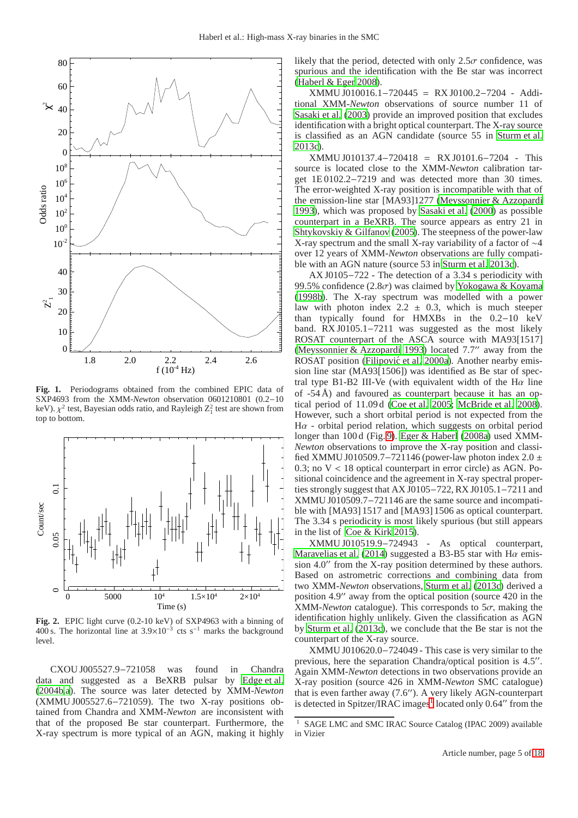

<span id="page-4-0"></span>**Fig. 1.** Periodograms obtained from the combined EPIC data of SXP4693 from the XMM-*Newton* observation 0601210801 (0.2−10 keV).  $\chi^2$  test, Bayesian odds ratio, and Rayleigh  $Z_1^2$  test are shown from top to bottom.



<span id="page-4-1"></span>**Fig. 2.** EPIC light curve (0.2-10 keV) of SXP4963 with a binning of 400 s. The horizontal line at  $3.9 \times 10^{-3}$  cts s<sup>-1</sup> marks the background level.

CXOU J005527.9−721058 was found in Chandra data and suggested as a BeXRB pulsar by [Edge et al.](#page-11-43) [\(2004b](#page-11-43)[,a](#page-11-44)). The source was later detected by XMM-*Newton* (XMMU J005527.6−721059). The two X-ray positions obtained from Chandra and XMM-*Newton* are inconsistent with that of the proposed Be star counterpart. Furthermore, the X-ray spectrum is more typical of an AGN, making it highly likely that the period, detected with only  $2.5\sigma$  confidence, was spurious and the identification with the Be star was incorrect [\(Haberl & Eger 2008\)](#page-11-45).

XMMU J010016.1−720445 = RX J0100.2−7204 - Additional XMM-*Newton* observations of source number 11 of [Sasaki et al.](#page-11-41) [\(2003\)](#page-11-41) provide an improved position that excludes identification with a bright optical counterpart. The X-ray source is classified as an AGN candidate (source 55 in [Sturm et al.](#page-11-10) [2013c\)](#page-11-10).

XMMU J010137.4−720418 = RX J0101.6−7204 - This source is located close to the XMM-*Newton* calibration target 1E 0102.2−7219 and was detected more than 30 times. The error-weighted X-ray position is incompatible with that of the emission-line star [MA93]1277 [\(Meyssonnier & Azzopardi](#page-11-26) [1993\)](#page-11-26), which was proposed by [Sasaki et al. \(2000](#page-11-15)) as possible counterpart in a BeXRB. The source appears as entry 21 in [Shtykovskiy & Gilfanov \(2005](#page-11-3)). The steepness of the power-law X-ray spectrum and the small X-ray variability of a factor of ∼4 over 12 years of XMM-*Newton* observations are fully compatible with an AGN nature (source 53 in [Sturm et al. 2013c\)](#page-11-10).

AX J0105−722 - The detection of a 3.34 s periodicity with 99.5% confidence (2.8 $\sigma$ ) was claimed by [Yokogawa & Koyama](#page-12-1) [\(1998b\)](#page-12-1). The X-ray spectrum was modelled with a power law with photon index  $2.2 \pm 0.3$ , which is much steeper than typically found for HMXBs in the 0.2−10 keV band. RX J0105.1−7211 was suggested as the most likely ROSAT counterpart of the ASCA source with MA93[1517] [\(Meyssonnier & Azzopardi 1993](#page-11-26)) located 7.7′′ away from the ROSAT position (Filipović et al. 2000a). Another nearby emission line star (MA93[1506]) was identified as Be star of spectral type B1-B2 III-Ve (with equivalent width of the H $\alpha$  line of -54 Å) and favoured as counterpart because it has an optical period of 11.09 d [\(Coe et al. 2005;](#page-10-0) [McBride et al. 2008\)](#page-11-6). However, such a short orbital period is not expected from the  $H\alpha$  - orbital period relation, which suggests on orbital period longer than 100 d (Fig. [9\)](#page-10-4). [Eger & Haberl](#page-11-47) [\(2008a\)](#page-11-47) used XMM-*Newton* observations to improve the X-ray position and classified XMMU J010509.7–721146 (power-law photon index  $2.0 \pm$  $0.3$ ; no  $V < 18$  optical counterpart in error circle) as AGN. Positional coincidence and the agreement in X-ray spectral properties strongly suggest that AX J0105−722, RX J0105.1−7211 and XMMU J010509.7−721146 are the same source and incompatible with [MA93] 1517 and [MA93] 1506 as optical counterpart. The 3.34 s periodicity is most likely spurious (but still appears in the list of [Coe & Kirk 2015\)](#page-11-2).

XMMU J010519.9−724943 - As optical counterpart, [Maravelias et al.](#page-11-37) [\(2014\)](#page-11-37) suggested a B3-B5 star with H $\alpha$  emission 4.0′′ from the X-ray position determined by these authors. Based on astrometric corrections and combining data from two XMM-*Newton* observations, [Sturm et al. \(2013c\)](#page-11-10) derived a position 4.9′′ away from the optical position (source 420 in the XMM-*Newton* catalogue). This corresponds to  $5\sigma$ , making the identification highly unlikely. Given the classification as AGN by [Sturm et al. \(2013c\)](#page-11-10), we conclude that the Be star is not the counterpart of the X-ray source.

XMMU J010620.0−724049 - This case is very similar to the previous, here the separation Chandra/optical position is 4.5". Again XMM-*Newton* detections in two observations provide an X-ray position (source 426 in XMM-*Newton* SMC catalogue) that is even farther away (7.6′′). A very likely AGN-counterpart is detected in Spitzer/IRAC images<sup>[1](#page-4-2)</sup> located only 0.64 $\prime\prime$  from the

<span id="page-4-2"></span><sup>&</sup>lt;sup>1</sup> SAGE LMC and SMC IRAC Source Catalog (IPAC 2009) available in Vizier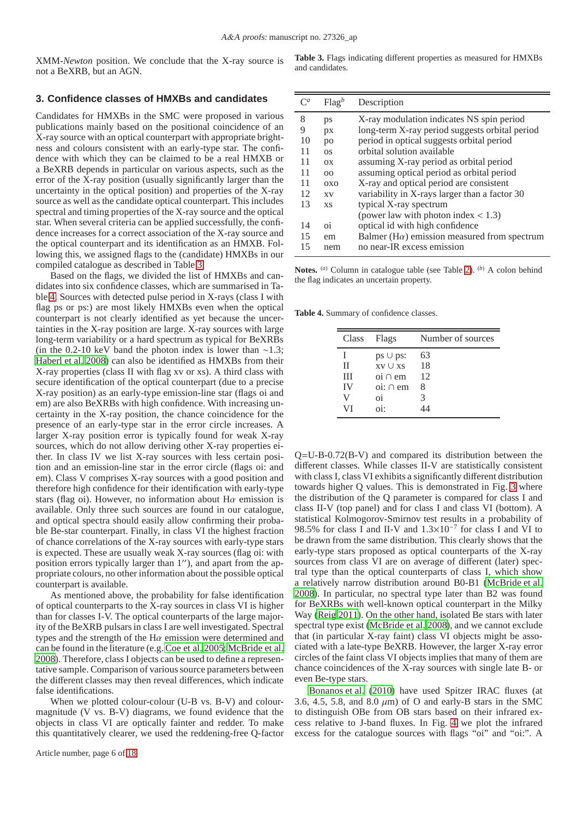XMM-*Newton* position. We conclude that the X-ray source is not a BeXRB, but an AGN.

<span id="page-5-0"></span>**Table 3.** Flags indicating different properties as measured for HMXBs and candidates.

## <span id="page-5-2"></span>**3. Confidence classes of HMXBs and candidates**

Candidates for HMXBs in the SMC were proposed in various publications mainly based on the positional coincidence of an X-ray source with an optical counterpart with appropriate brightness and colours consistent with an early-type star. The confidence with which they can be claimed to be a real HMXB or a BeXRB depends in particular on various aspects, such as the error of the X-ray position (usually significantly larger than the uncertainty in the optical position) and properties of the X-ray source as well as the candidate optical counterpart. This includes spectral and timing properties of the X-ray source and the optical star. When several criteria can be applied successfully, the confidence increases for a correct association of the X-ray source and the optical counterpart and its identification as an HMXB. Following this, we assigned flags to the (candidate) HMXBs in our compiled catalogue as described in Table [3.](#page-5-0)

Based on the flags, we divided the list of HMXBs and candidates into six confidence classes, which are summarised in Table [4.](#page-5-1) Sources with detected pulse period in X-rays (class I with flag ps or ps:) are most likely HMXBs even when the optical counterpart is not clearly identified as yet because the uncertainties in the X-ray position are large. X-ray sources with large long-term variability or a hard spectrum as typical for BeXRBs (in the 0.2-10 keV band the photon index is lower than  $\sim$ 1.3; [Haberl et al. 2008\)](#page-11-7) can also be identified as HMXBs from their X-ray properties (class II with flag xv or xs). A third class with secure identification of the optical counterpart (due to a precise X-ray position) as an early-type emission-line star (flags oi and em) are also BeXRBs with high confidence. With increasing uncertainty in the X-ray position, the chance coincidence for the presence of an early-type star in the error circle increases. A larger X-ray position error is typically found for weak X-ray sources, which do not allow deriving other X-ray properties either. In class IV we list X-ray sources with less certain position and an emission-line star in the error circle (flags oi: and em). Class V comprises X-ray sources with a good position and therefore high confidence for their identification with early-type stars (flag oi). However, no information about  $H\alpha$  emission is available. Only three such sources are found in our catalogue, and optical spectra should easily allow confirming their probable Be-star counterpart. Finally, in class VI the highest fraction of chance correlations of the X-ray sources with early-type stars is expected. These are usually weak X-ray sources (flag oi: with position errors typically larger than 1′′), and apart from the appropriate colours, no other information about the possible optical counterpart is available.

As mentioned above, the probability for false identification of optical counterparts to the X-ray sources in class VI is higher than for classes I-V. The optical counterparts of the large majority of the BeXRB pulsars in class I are well investigated. Spectral types and the strength of the  $H\alpha$  emission were determined and can be found in the literature (e.g. [Coe et al. 2005](#page-10-0); [McBride et al.](#page-11-6) [2008\)](#page-11-6). Therefore, class I objects can be used to define a representative sample. Comparison of various source parameters between the different classes may then reveal differences, which indicate false identifications.

When we plotted colour-colour (U-B vs. B-V) and colourmagnitude (V vs. B-V) diagrams, we found evidence that the objects in class VI are optically fainter and redder. To make this quantitatively clearer, we used the reddening-free Q-factor

|    | Flag <sup>b</sup> | Description                                          |
|----|-------------------|------------------------------------------------------|
| 8  | ps                | X-ray modulation indicates NS spin period            |
| 9  | px                | long-term X-ray period suggests orbital period       |
| 10 | po                | period in optical suggests orbital period            |
| 11 | O <sub>S</sub>    | orbital solution available                           |
| 11 | O <sub>X</sub>    | assuming X-ray period as orbital period              |
| 11 | 00                | assuming optical period as orbital period            |
| 11 | 0XQ               | X-ray and optical period are consistent              |
| 12 | <b>XV</b>         | variability in X-rays larger than a factor 30        |
| 13 | XS.               | typical X-ray spectrum                               |
|    |                   | (power law with photon index $<$ 1.3)                |
| 14 | $\overline{0}$    | optical id with high confidence                      |
| 15 | em                | Balmer ( $H\alpha$ ) emission measured from spectrum |
| 15 | nem               | no near-IR excess emission                           |

**Notes.** (*a*) Column in catalogue table (see Table [2\)](#page-2-0). (*b*) A colon behind the flag indicates an uncertain property.

**Table 4.** Summary of confidence classes.

<span id="page-5-1"></span>

|             | Class Flags                       | Number of sources |
|-------------|-----------------------------------|-------------------|
|             | $ps \cup ps$ :                    | 63                |
| $_{\rm II}$ | <b>xv</b> Uxs                     | 18                |
| Ш           | $\overline{\text{o}}$ i $\cap$ em | 12                |
| <b>IV</b>   | $\overline{\text{o}}$ : $\cap$ em | 8                 |
| V           | oi                                | 3                 |
| VI          | $0i$ :                            |                   |

Q=U-B-0.72(B-V) and compared its distribution between the different classes. While classes II-V are statistically consistent with class I, class VI exhibits a significantly different distribution towards higher Q values. This is demonstrated in Fig. [3](#page-6-0) where the distribution of the Q parameter is compared for class I and class II-V (top panel) and for class I and class VI (bottom). A statistical Kolmogorov-Smirnov test results in a probability of 98.5% for class I and II-V and  $1.3 \times 10^{-7}$  for class I and VI to be drawn from the same distribution. This clearly shows that the early-type stars proposed as optical counterparts of the X-ray sources from class VI are on average of different (later) spectral type than the optical counterparts of class I, which show a relatively narrow distribution around B0-B1 [\(McBride et al.](#page-11-6) [2008\)](#page-11-6). In particular, no spectral type later than B2 was found for BeXRBs with well-known optical counterpart in the Milky Way [\(Reig 2011\)](#page-11-48). On the other hand, isolated Be stars with later spectral type exist [\(McBride et al. 2008\)](#page-11-6), and we cannot exclude that (in particular X-ray faint) class VI objects might be associated with a late-type BeXRB. However, the larger X-ray error circles of the faint class VI objects implies that many of them are chance coincidences of the X-ray sources with single late B- or even Be-type stars.

[Bonanos et al. \(2010](#page-10-8)) have used Spitzer IRAC fluxes (at 3.6, 4.5, 5.8, and 8.0  $\mu$ m) of O and early-B stars in the SMC to distinguish OBe from OB stars based on their infrared excess relative to J-band fluxes. In Fig. [4](#page-7-0) we plot the infrared excess for the catalogue sources with flags "oi" and "oi:". A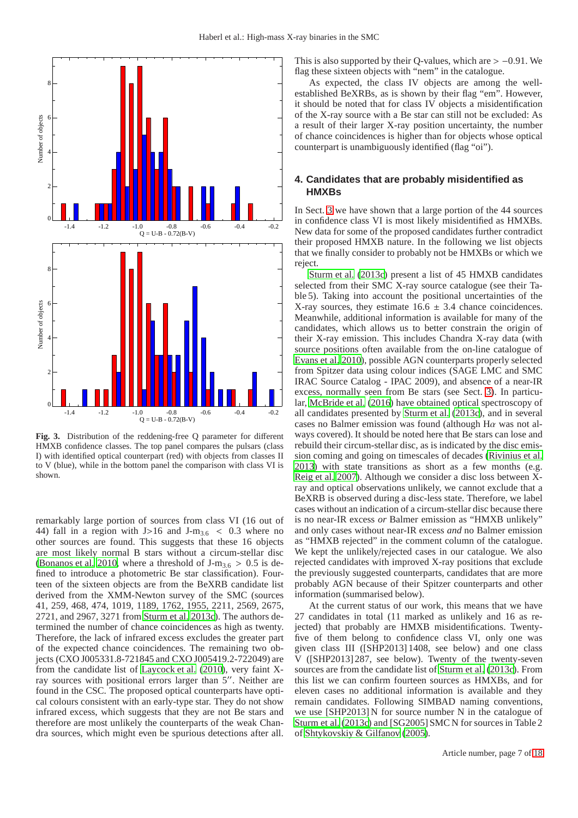

<span id="page-6-0"></span>**Fig. 3.** Distribution of the reddening-free Q parameter for different HMXB confidence classes. The top panel compares the pulsars (class I) with identified optical counterpart (red) with objects from classes II to V (blue), while in the bottom panel the comparison with class VI is shown.

remarkably large portion of sources from class VI (16 out of 44) fall in a region with J>16 and J-m<sub>3.6</sub> < 0.3 where no other sources are found. This suggests that these 16 objects are most likely normal B stars without a circum-stellar disc [\(Bonanos et al. 2010](#page-10-8), where a threshold of  $J-m<sub>3.6</sub> > 0.5$  is defined to introduce a photometric Be star classification). Fourteen of the sixteen objects are from the BeXRB candidate list derived from the XMM-Newton survey of the SMC (sources 41, 259, 468, 474, 1019, 1189, 1762, 1955, 2211, 2569, 2675, 2721, and 2967, 3271 from [Sturm et al. 2013c](#page-11-10)). The authors determined the number of chance coincidences as high as twenty. Therefore, the lack of infrared excess excludes the greater part of the expected chance coincidences. The remaining two objects (CXO J005331.8-721845 and CXO J005419.2-722049) are from the candidate list of [Laycock et al. \(2010\)](#page-11-8), very faint Xray sources with positional errors larger than 5′′. Neither are found in the CSC. The proposed optical counterparts have optical colours consistent with an early-type star. They do not show infrared excess, which suggests that they are not Be stars and therefore are most unlikely the counterparts of the weak Chandra sources, which might even be spurious detections after all. This is also supported by their Q-values, which are  $> -0.91$ . We flag these sixteen objects with "nem" in the catalogue.

As expected, the class IV objects are among the wellestablished BeXRBs, as is shown by their flag "em". However, it should be noted that for class IV objects a misidentification of the X-ray source with a Be star can still not be excluded: As a result of their larger X-ray position uncertainty, the number of chance coincidences is higher than for objects whose optical counterpart is unambiguously identified (flag "oi").

# **4. Candidates that are probably misidentified as HMXBs**

In Sect. [3](#page-5-2) we have shown that a large portion of the 44 sources in confidence class VI is most likely misidentified as HMXBs. New data for some of the proposed candidates further contradict their proposed HMXB nature. In the following we list objects that we finally consider to probably not be HMXBs or which we reject.

[Sturm et al. \(2013c\)](#page-11-10) present a list of 45 HMXB candidates selected from their SMC X-ray source catalogue (see their Table 5). Taking into account the positional uncertainties of the X-ray sources, they estimate  $16.6 \pm 3.4$  chance coincidences. Meanwhile, additional information is available for many of the candidates, which allows us to better constrain the origin of their X-ray emission. This includes Chandra X-ray data (with source positions often available from the on-line catalogue of [Evans et al. 2010\)](#page-11-11), possible AGN counterparts properly selected from Spitzer data using colour indices (SAGE LMC and SMC IRAC Source Catalog - IPAC 2009), and absence of a near-IR excess, normally seen from Be stars (see Sect. [3\)](#page-5-2). In particular, [McBride et al.](#page-11-49) [\(2016\)](#page-11-49) have obtained optical spectroscopy of all candidates presented by [Sturm et al.](#page-11-10) [\(2013c](#page-11-10)), and in several cases no Balmer emission was found (although  $H\alpha$  was not always covered). It should be noted here that Be stars can lose and rebuild their circum-stellar disc, as is indicated by the disc emission coming and going on timescales of decades [\(Rivinius et al.](#page-11-50) [2013\)](#page-11-50) with state transitions as short as a few months (e.g. [Reig et al. 2007\)](#page-11-51). Although we consider a disc loss between  $\bar{X}$ ray and optical observations unlikely, we cannot exclude that a BeXRB is observed during a disc-less state. Therefore, we label cases without an indication of a circum-stellar disc because there is no near-IR excess *or* Balmer emission as "HMXB unlikely" and only cases without near-IR excess *and* no Balmer emission as "HMXB rejected" in the comment column of the catalogue. We kept the unlikely/rejected cases in our catalogue. We also rejected candidates with improved X-ray positions that exclude the previously suggested counterparts, candidates that are more probably AGN because of their Spitzer counterparts and other information (summarised below).

At the current status of our work, this means that we have 27 candidates in total (11 marked as unlikely and 16 as rejected) that probably are HMXB misidentifications. Twentyfive of them belong to confidence class VI, only one was given class III ([SHP2013] 1408, see below) and one class V ([SHP2013] 287, see below). Twenty of the twenty-seven sources are from the candidate list of [Sturm et al. \(2013c\)](#page-11-10). From this list we can confirm fourteen sources as HMXBs, and for eleven cases no additional information is available and they remain candidates. Following SIMBAD naming conventions, we use [SHP2013] N for source number N in the catalogue of [Sturm et al. \(2013c\)](#page-11-10) and [SG2005] SMC N for sources in Table 2 of [Shtykovskiy & Gilfanov \(2005\)](#page-11-3).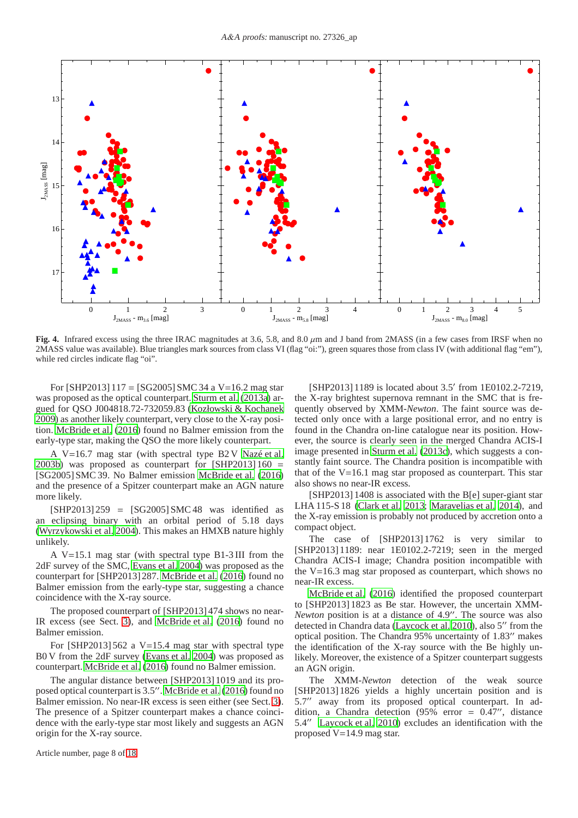

<span id="page-7-0"></span>**Fig. 4.** Infrared excess using the three IRAC magnitudes at 3.6, 5.8, and 8.0  $\mu$ m and J band from 2MASS (in a few cases from IRSF when no 2MASS value was available). Blue triangles mark sources from class VI (flag "oi:"), green squares those from class IV (with additional flag "em"), while red circles indicate flag "oi".

For [SHP2013]  $117 =$  [SG2005] SMC 34 a V=16.2 mag star was proposed as the optical counterpart. [Sturm et al. \(2013a\)](#page-11-52) argued for QSO J004818.72-732059.83 [\(Kozłowski & Kochanek](#page-11-42) [2009\)](#page-11-42) as another likely counterpart, very close to the X-ray position. [McBride et al. \(2016\)](#page-11-49) found no Balmer emission from the early-type star, making the QSO the more likely counterpart.

A V=16.7 mag star (with spectral type B2 V [Nazé et al.](#page-11-53) [2003b\)](#page-11-53) was proposed as counterpart for  $[SHP2013]160 =$ [SG2005] SMC 39. No Balmer emission [McBride et al.](#page-11-49) [\(2016\)](#page-11-49) and the presence of a Spitzer counterpart make an AGN nature more likely.

 $[SHP2013] 259 = [SG2005] SMC 48$  was identified as an eclipsing binary with an orbital period of 5.18 days [\(Wyrzykowski et al. 2004](#page-12-2)). This makes an HMXB nature highly unlikely.

A V=15.1 mag star (with spectral type B1-3 III from the 2dF survey of the SMC, [Evans et al. 2004](#page-11-34)) was proposed as the counterpart for [SHP2013] 287. [McBride et al.](#page-11-49) [\(2016\)](#page-11-49) found no Balmer emission from the early-type star, suggesting a chance coincidence with the X-ray source.

The proposed counterpart of [SHP2013] 474 shows no near-IR excess (see Sect. [3\)](#page-5-2), and [McBride et al. \(2016](#page-11-49)) found no Balmer emission.

For [SHP2013] 562 a  $V=15.4$  mag star with spectral type B0 V from the 2dF survey [\(Evans et al. 2004\)](#page-11-34) was proposed as counterpart. [McBride et al. \(2016\)](#page-11-49) found no Balmer emission.

The angular distance between [SHP2013] 1019 and its proposed optical counterpart is 3.5′′. [McBride et al.](#page-11-49) [\(2016\)](#page-11-49) found no Balmer emission. No near-IR excess is seen either (see Sect. [3\)](#page-5-2). The presence of a Spitzer counterpart makes a chance coincidence with the early-type star most likely and suggests an AGN origin for the X-ray source.

Article number, page 8 of 18

[SHP2013] 1189 is located about 3.5' from 1E0102.2-7219, the X-ray brightest supernova remnant in the SMC that is frequently observed by XMM-*Newton*. The faint source was detected only once with a large positional error, and no entry is found in the Chandra on-line catalogue near its position. However, the source is clearly seen in the merged Chandra ACIS-I image presented in [Sturm et al.](#page-11-10) [\(2013c\)](#page-11-10), which suggests a constantly faint source. The Chandra position is incompatible with that of the V=16.1 mag star proposed as counterpart. This star also shows no near-IR excess.

[SHP2013] 1408 is associated with the B[e] super-giant star LHA 115-S 18 [\(Clark et al. 2013;](#page-10-11) [Maravelias et al. 2014\)](#page-11-37), and the X-ray emission is probably not produced by accretion onto a compact object.

The case of [SHP2013] 1762 is very similar to [SHP2013] 1189: near 1E0102.2-7219; seen in the merged Chandra ACIS-I image; Chandra position incompatible with the V=16.3 mag star proposed as counterpart, which shows no near-IR excess.

[McBride et al.](#page-11-49) [\(2016\)](#page-11-49) identified the proposed counterpart to [SHP2013] 1823 as Be star. However, the uncertain XMM-*Newton* position is at a distance of 4.9′′. The source was also detected in Chandra data [\(Laycock et al. 2010\)](#page-11-8), also 5′′ from the optical position. The Chandra 95% uncertainty of 1.83′′ makes the identification of the X-ray source with the Be highly unlikely. Moreover, the existence of a Spitzer counterpart suggests an AGN origin.

The XMM-*Newton* detection of the weak source [SHP2013] 1826 yields a highly uncertain position and is 5.7′′ away from its proposed optical counterpart. In addition, a Chandra detection (95% error = 0.47′′, distance 5.4′′ [Laycock et al. 2010\)](#page-11-8) excludes an identification with the proposed  $V=14.9$  mag star.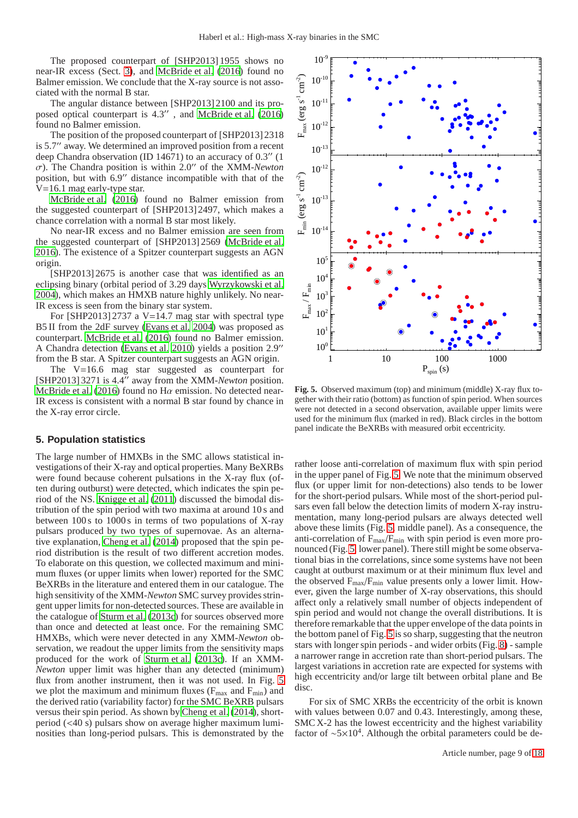The proposed counterpart of [SHP2013] 1955 shows no near-IR excess (Sect. [3\)](#page-5-2), and [McBride et al. \(2016\)](#page-11-49) found no Balmer emission. We conclude that the X-ray source is not associated with the normal B star.

The angular distance between [SHP2013] 2100 and its proposed optical counterpart is 4.3′′ , and [McBride et al.](#page-11-49) [\(2016\)](#page-11-49) found no Balmer emission.

The position of the proposed counterpart of [SHP2013] 2318 is 5.7′′ away. We determined an improved position from a recent deep Chandra observation (ID 14671) to an accuracy of 0.3′′ (1 σ). The Chandra position is within 2.0′′ of the XMM-*Newton* position, but with 6.9′′ distance incompatible with that of the V=16.1 mag early-type star.

[McBride et al. \(2016\)](#page-11-49) found no Balmer emission from the suggested counterpart of [SHP2013] 2497, which makes a chance correlation with a normal B star most likely.

No near-IR excess and no Balmer emission are seen from the suggested counterpart of [SHP2013] 2569 [\(McBride et al.](#page-11-49) [2016\)](#page-11-49). The existence of a Spitzer counterpart suggests an AGN origin.

[SHP2013] 2675 is another case that was identified as an eclipsing binary (orbital period of 3.29 days [Wyrzykowski et al.](#page-12-2) [2004\)](#page-12-2), which makes an HMXB nature highly unlikely. No near-IR excess is seen from the binary star system.

For [SHP2013] 2737 a  $V=14.7$  mag star with spectral type B5 II from the 2dF survey [\(Evans et al. 2004\)](#page-11-34) was proposed as counterpart. [McBride et al. \(2016\)](#page-11-49) found no Balmer emission. A Chandra detection [\(Evans et al. 2010](#page-11-11)) yields a position 2.9′′ from the B star. A Spitzer counterpart suggests an AGN origin.

The V=16.6 mag star suggested as counterpart for [SHP2013] 3271 is 4.4′′ away from the XMM-*Newton* position. [McBride et al. \(2016\)](#page-11-49) found no H $\alpha$  emission. No detected near-IR excess is consistent with a normal B star found by chance in the X-ray error circle.

# **5. Population statistics**

The large number of HMXBs in the SMC allows statistical investigations of their X-ray and optical properties. Many BeXRBs were found because coherent pulsations in the X-ray flux (often during outburst) were detected, which indicates the spin period of the NS. [Knigge et al.](#page-11-54) [\(2011\)](#page-11-54) discussed the bimodal distribution of the spin period with two maxima at around 10 s and between 100 s to 1000 s in terms of two populations of X-ray pulsars produced by two types of supernovae. As an alternative explanation, [Cheng et al.](#page-10-12) [\(2014\)](#page-10-12) proposed that the spin period distribution is the result of two different accretion modes. To elaborate on this question, we collected maximum and minimum fluxes (or upper limits when lower) reported for the SMC BeXRBs in the literature and entered them in our catalogue. The high sensitivity of the XMM-*Newton* SMC survey provides stringent upper limits for non-detected sources. These are available in the catalogue of [Sturm et al.](#page-11-10) [\(2013c](#page-11-10)) for sources observed more than once and detected at least once. For the remaining SMC HMXBs, which were never detected in any XMM-*Newton* observation, we readout the upper limits from the sensitivity maps produced for the work of [Sturm et al.](#page-11-10) [\(2013c\)](#page-11-10). If an XMM-*Newton* upper limit was higher than any detected (minimum) flux from another instrument, then it was not used. In Fig. [5](#page-8-0) we plot the maximum and minimum fluxes ( $F_{\text{max}}$  and  $F_{\text{min}}$ ) and the derived ratio (variability factor) for the SMC BeXRB pulsars versus their spin period. As shown by [Cheng et al.](#page-10-12) [\(2014\)](#page-10-12), shortperiod (<40 s) pulsars show on average higher maximum luminosities than long-period pulsars. This is demonstrated by the



<span id="page-8-0"></span>**Fig. 5.** Observed maximum (top) and minimum (middle) X-ray flux together with their ratio (bottom) as function of spin period. When sources were not detected in a second observation, available upper limits were used for the minimum flux (marked in red). Black circles in the bottom panel indicate the BeXRBs with measured orbit eccentricity.

rather loose anti-correlation of maximum flux with spin period in the upper panel of Fig. [5.](#page-8-0) We note that the minimum observed flux (or upper limit for non-detections) also tends to be lower for the short-period pulsars. While most of the short-period pulsars even fall below the detection limits of modern X-ray instrumentation, many long-period pulsars are always detected well above these limits (Fig. [5,](#page-8-0) middle panel). As a consequence, the anti-correlation of  $F_{\text{max}}/F_{\text{min}}$  with spin period is even more pronounced (Fig. [5,](#page-8-0) lower panel). There still might be some observational bias in the correlations, since some systems have not been caught at outburst maximum or at their minimum flux level and the observed  $F_{max}/F_{min}$  value presents only a lower limit. However, given the large number of X-ray observations, this should affect only a relatively small number of objects independent of spin period and would not change the overall distributions. It is therefore remarkable that the upper envelope of the data points in the bottom panel of Fig. [5](#page-8-0) is so sharp, suggesting that the neutron stars with longer spin periods - and wider orbits (Fig. [8\)](#page-10-3) - sample a narrower range in accretion rate than short-period pulsars. The largest variations in accretion rate are expected for systems with high eccentricity and/or large tilt between orbital plane and Be disc.

For six of SMC XRBs the eccentricity of the orbit is known with values between 0.07 and 0.43. Interestingly, among these, SMC X-2 has the lowest eccentricity and the highest variability factor of  $\sim 5 \times 10^4$ . Although the orbital parameters could be de-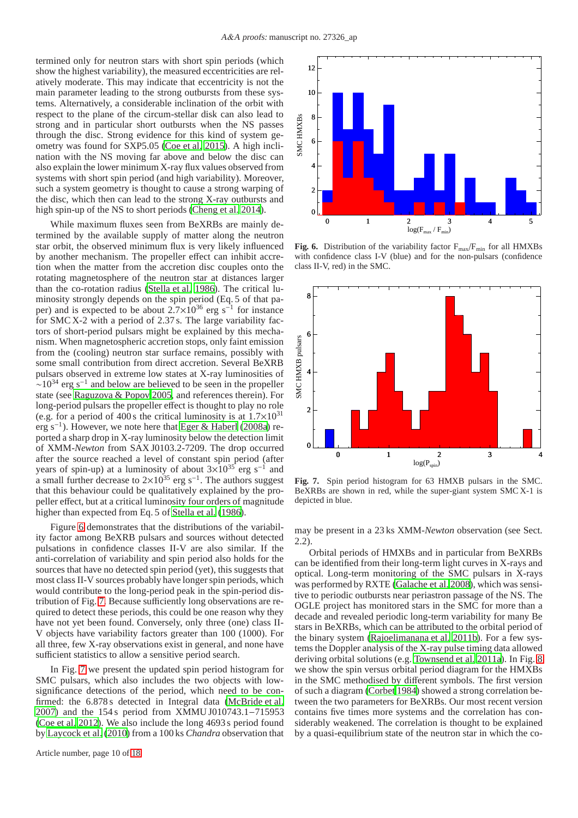termined only for neutron stars with short spin periods (which show the highest variability), the measured eccentricities are relatively moderate. This may indicate that eccentricity is not the main parameter leading to the strong outbursts from these systems. Alternatively, a considerable inclination of the orbit with respect to the plane of the circum-stellar disk can also lead to strong and in particular short outbursts when the NS passes through the disc. Strong evidence for this kind of system geometry was found for SXP5.05 [\(Coe et al. 2015\)](#page-10-10). A high inclination with the NS moving far above and below the disc can also explain the lower minimum X-ray flux values observed from systems with short spin period (and high variability). Moreover, such a system geometry is thought to cause a strong warping of the disc, which then can lead to the strong X-ray outbursts and high spin-up of the NS to short periods [\(Cheng et al. 2014](#page-10-12)).

While maximum fluxes seen from BeXRBs are mainly determined by the available supply of matter along the neutron star orbit, the observed minimum flux is very likely influenced by another mechanism. The propeller effect can inhibit accretion when the matter from the accretion disc couples onto the rotating magnetosphere of the neutron star at distances larger than the co-rotation radius [\(Stella et al. 1986\)](#page-11-55). The critical luminosity strongly depends on the spin period (Eq. 5 of that paper) and is expected to be about  $2.7 \times 10^{36}$  erg s<sup>-1</sup> for instance for SMC X-2 with a period of 2.37 s. The large variability factors of short-period pulsars might be explained by this mechanism. When magnetospheric accretion stops, only faint emission from the (cooling) neutron star surface remains, possibly with some small contribution from direct accretion. Several BeXRB pulsars observed in extreme low states at X-ray luminosities of  $\sim$ 10<sup>34</sup> erg s<sup>-1</sup> and below are believed to be seen in the propeller state (see [Raguzova & Popov 2005,](#page-11-56) and references therein). For long-period pulsars the propeller effect is thought to play no role (e.g. for a period of 400 s the critical luminosity is at  $1.7 \times 10^{31}$ erg s−<sup>1</sup> ). However, we note here that [Eger & Haberl](#page-11-47) [\(2008a\)](#page-11-47) reported a sharp drop in X-ray luminosity below the detection limit of XMM-*Newton* from SAX J0103.2-7209. The drop occurred after the source reached a level of constant spin period (after years of spin-up) at a luminosity of about  $3\times10^{35}$  erg s<sup>-1</sup> and a small further decrease to  $2\times10^{35}$  erg s<sup>-1</sup>. The authors suggest that this behaviour could be qualitatively explained by the propeller effect, but at a critical luminosity four orders of magnitude higher than expected from Eq. 5 of [Stella et al. \(1986\)](#page-11-55).

Figure [6](#page-9-0) demonstrates that the distributions of the variability factor among BeXRB pulsars and sources without detected pulsations in confidence classes II-V are also similar. If the anti-correlation of variability and spin period also holds for the sources that have no detected spin period (yet), this suggests that most class II-V sources probably have longer spin periods, which would contribute to the long-period peak in the spin-period distribution of Fig. [7.](#page-9-1) Because sufficiently long observations are required to detect these periods, this could be one reason why they have not yet been found. Conversely, only three (one) class II-V objects have variability factors greater than 100 (1000). For all three, few X-ray observations exist in general, and none have sufficient statistics to allow a sensitive period search.

In Fig. [7](#page-9-1) we present the updated spin period histogram for SMC pulsars, which also includes the two objects with lowsignificance detections of the period, which need to be confirmed: the  $6.878 s$  detected in Integral data [\(McBride et al.](#page-11-57) [2007\)](#page-11-57) and the 154 s period from XMMU J010743.1−715953 [\(Coe et al. 2012\)](#page-10-7). We also include the long 4693 s period found by [Laycock et al.](#page-11-8) [\(2010\)](#page-11-8) from a 100 ks *Chandra* observation that



<span id="page-9-0"></span>**Fig. 6.** Distribution of the variability factor  $F_{\text{max}}/F_{\text{min}}$  for all HMXBs with confidence class I-V (blue) and for the non-pulsars (confidence class II-V, red) in the SMC.



<span id="page-9-1"></span>**Fig. 7.** Spin period histogram for 63 HMXB pulsars in the SMC. BeXRBs are shown in red, while the super-giant system SMC X-1 is depicted in blue.

may be present in a 23 ks XMM-*Newton* observation (see Sect. 2.2).

Orbital periods of HMXBs and in particular from BeXRBs can be identified from their long-term light curves in X-rays and optical. Long-term monitoring of the SMC pulsars in X-rays was performed by RXTE [\(Galache et al. 2008\)](#page-11-5), which was sensitive to periodic outbursts near periastron passage of the NS. The OGLE project has monitored stars in the SMC for more than a decade and revealed periodic long-term variability for many Be stars in BeXRBs, which can be attributed to the orbital period of the binary system [\(Rajoelimanana et al. 2011b](#page-11-9)). For a few systems the Doppler analysis of the X-ray pulse timing data allowed deriving orbital solutions (e.g. [Townsend et al. 2011a\)](#page-11-58). In Fig. [8](#page-10-3) we show the spin versus orbital period diagram for the HMXBs in the SMC methodised by different symbols. The first version of such a diagram [\(Corbet 1984\)](#page-11-21) showed a strong correlation between the two parameters for BeXRBs. Our most recent version contains five times more systems and the correlation has considerably weakened. The correlation is thought to be explained by a quasi-equilibrium state of the neutron star in which the co-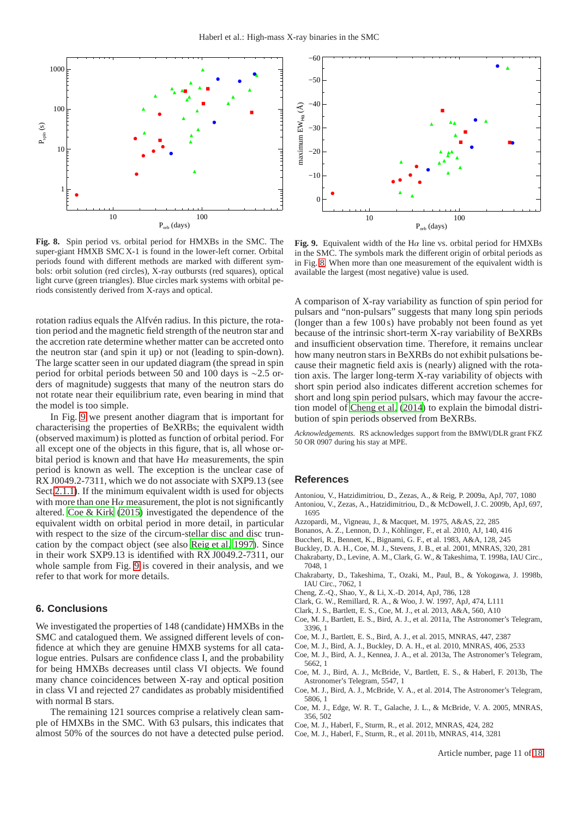

<span id="page-10-3"></span>**Fig. 8.** Spin period vs. orbital period for HMXBs in the SMC. The super-giant HMXB SMC X-1 is found in the lower-left corner. Orbital periods found with different methods are marked with different symbols: orbit solution (red circles), X-ray outbursts (red squares), optical light curve (green triangles). Blue circles mark systems with orbital periods consistently derived from X-rays and optical.

rotation radius equals the Alfvén radius. In this picture, the rotation period and the magnetic field strength of the neutron star and the accretion rate determine whether matter can be accreted onto the neutron star (and spin it up) or not (leading to spin-down). The large scatter seen in our updated diagram (the spread in spin period for orbital periods between 50 and 100 days is ∼2.5 orders of magnitude) suggests that many of the neutron stars do not rotate near their equilibrium rate, even bearing in mind that the model is too simple.

In Fig. [9](#page-10-4) we present another diagram that is important for characterising the properties of BeXRBs; the equivalent width (observed maximum) is plotted as function of orbital period. For all except one of the objects in this figure, that is, all whose orbital period is known and that have  $H\alpha$  measurements, the spin period is known as well. The exception is the unclear case of RX J0049.2-7311, which we do not associate with SXP9.13 (see Sect[.2.1.1\)](#page-1-1). If the minimum equivalent width is used for objects with more than one  $H\alpha$  measurement, the plot is not significantly altered. [Coe & Kirk \(2015\)](#page-11-2) investigated the dependence of the equivalent width on orbital period in more detail, in particular with respect to the size of the circum-stellar disc and disc truncation by the compact object (see also [Reig et al. 1997\)](#page-11-23). Since in their work SXP9.13 is identified with RX J0049.2-7311, our whole sample from Fig. [9](#page-10-4) is covered in their analysis, and we refer to that work for more details.

## **6. Conclusions**

We investigated the properties of 148 (candidate) HMXBs in the SMC and catalogued them. We assigned different levels of confidence at which they are genuine HMXB systems for all catalogue entries. Pulsars are confidence class I, and the probability for being HMXBs decreases until class VI objects. We found many chance coincidences between X-ray and optical position in class VI and rejected 27 candidates as probably misidentified with normal B stars.

The remaining 121 sources comprise a relatively clean sample of HMXBs in the SMC. With 63 pulsars, this indicates that almost 50% of the sources do not have a detected pulse period.



<span id="page-10-4"></span>**Fig. 9.** Equivalent width of the H $\alpha$  line vs. orbital period for HMXBs in the SMC. The symbols mark the different origin of orbital periods as in Fig. [8.](#page-10-3) When more than one measurement of the equivalent width is available the largest (most negative) value is used.

A comparison of X-ray variability as function of spin period for pulsars and "non-pulsars" suggests that many long spin periods (longer than a few 100 s) have probably not been found as yet because of the intrinsic short-term X-ray variability of BeXRBs and insufficient observation time. Therefore, it remains unclear how many neutron stars in BeXRBs do not exhibit pulsations because their magnetic field axis is (nearly) aligned with the rotation axis. The larger long-term X-ray variability of objects with short spin period also indicates different accretion schemes for short and long spin period pulsars, which may favour the accretion model of [Cheng et al. \(2014\)](#page-10-12) to explain the bimodal distribution of spin periods observed from BeXRBs.

*Acknowledgements.* RS acknowledges support from the BMWI/DLR grant FKZ 50 OR 0907 during his stay at MPE.

#### **References**

- <span id="page-10-2"></span><span id="page-10-1"></span>Antoniou, V., Hatzidimitriou, D., Zezas, A., & Reig, P. 2009a, ApJ, 707, 1080 Antoniou, V., Zezas, A., Hatzidimitriou, D., & McDowell, J. C. 2009b, ApJ, 697, 1695
- <span id="page-10-9"></span>Azzopardi, M., Vigneau, J., & Macquet, M. 1975, A&AS, 22, 285
- <span id="page-10-8"></span>Bonanos, A. Z., Lennon, D. J., Köhlinger, F., et al. 2010, AJ, 140, 416
- <span id="page-10-6"></span>Buccheri, R., Bennett, K., Bignami, G. F., et al. 1983, A&A, 128, 245
- <span id="page-10-13"></span>Buckley, D. A. H., Coe, M. J., Stevens, J. B., et al. 2001, MNRAS, 320, 281
- <span id="page-10-19"></span>Chakrabarty, D., Levine, A. M., Clark, G. W., & Takeshima, T. 1998a, IAU Circ., 7048, 1
- <span id="page-10-21"></span>Chakrabarty, D., Takeshima, T., Ozaki, M., Paul, B., & Yokogawa, J. 1998b, IAU Circ., 7062, 1
- <span id="page-10-12"></span>Cheng, Z.-Q., Shao, Y., & Li, X.-D. 2014, ApJ, 786, 128
- <span id="page-10-20"></span>Clark, G. W., Remillard, R. A., & Woo, J. W. 1997, ApJ, 474, L111
- <span id="page-10-11"></span>Clark, J. S., Bartlett, E. S., Coe, M. J., et al. 2013, A&A, 560, A10
- <span id="page-10-5"></span>Coe, M. J., Bartlett, E. S., Bird, A. J., et al. 2011a, The Astronomer's Telegram, 3396, 1
- <span id="page-10-10"></span>Coe, M. J., Bartlett, E. S., Bird, A. J., et al. 2015, MNRAS, 447, 2387
- <span id="page-10-14"></span>Coe, M. J., Bird, A. J., Buckley, D. A. H., et al. 2010, MNRAS, 406, 2533 Coe, M. J., Bird, A. J., Kennea, J. A., et al. 2013a, The Astronomer's Telegram,
- <span id="page-10-15"></span>5662, 1 Coe, M. J., Bird, A. J., McBride, V., Bartlett, E. S., & Haberl, F. 2013b, The
- <span id="page-10-17"></span><span id="page-10-16"></span>Astronomer's Telegram, 5547, 1 Coe, M. J., Bird, A. J., McBride, V. A., et al. 2014, The Astronomer's Telegram, 5806, 1
- <span id="page-10-0"></span>Coe, M. J., Edge, W. R. T., Galache, J. L., & McBride, V. A. 2005, MNRAS, 356, 502
- <span id="page-10-7"></span>Coe, M. J., Haberl, F., Sturm, R., et al. 2012, MNRAS, 424, 282
- <span id="page-10-18"></span>Coe, M. J., Haberl, F., Sturm, R., et al. 2011b, MNRAS, 414, 3281

Article number, page 11 of 18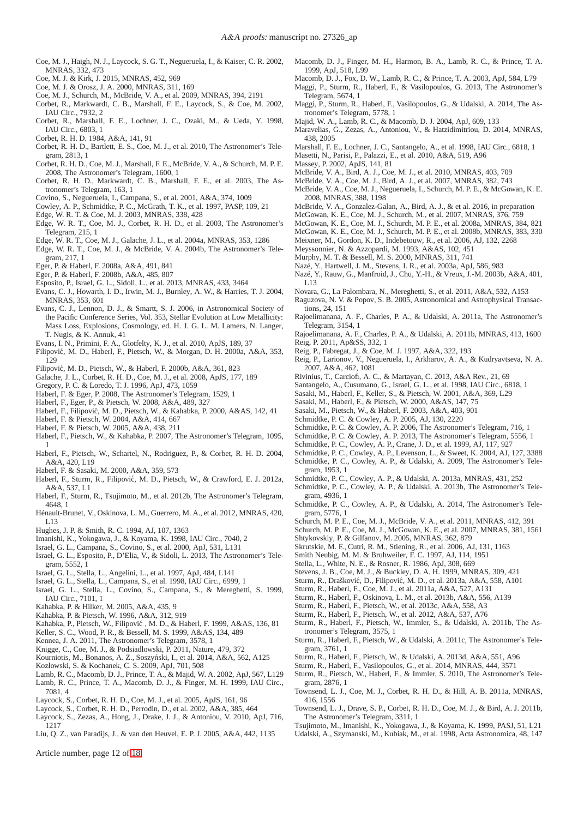- <span id="page-11-59"></span>Coe, M. J., Haigh, N. J., Laycock, S. G. T., Negueruela, I., & Kaiser, C. R. 2002, MNRAS, 332, 473
- <span id="page-11-2"></span>Coe, M. J. & Kirk, J. 2015, MNRAS, 452, 969
- <span id="page-11-62"></span>Coe, M. J. & Orosz, J. A. 2000, MNRAS, 311, 169
- <span id="page-11-13"></span>Coe, M. J., Schurch, M., McBride, V. A., et al. 2009, MNRAS, 394, 2191
- <span id="page-11-20"></span>Corbet, R., Markwardt, C. B., Marshall, F. E., Laycock, S., & Coe, M. 2002, IAU Circ., 7932, 2
- <span id="page-11-24"></span>Corbet, R., Marshall, F. E., Lochner, J. C., Ozaki, M., & Ueda, Y. 1998, IAU Circ., 6803, 1
- <span id="page-11-21"></span>Corbet, R. H. D. 1984, A&A, 141, 91
- <span id="page-11-25"></span>Corbet, R. H. D., Bartlett, E. S., Coe, M. J., et al. 2010, The Astronomer's Telegram, 2813, 1
- <span id="page-11-12"></span>Corbet, R. H. D., Coe, M. J., Marshall, F. E., McBride, V. A., & Schurch, M. P. E. 2008, The Astronomer's Telegram, 1600, 1
- <span id="page-11-60"></span>Corbet, R. H. D., Markwardt, C. B., Marshall, F. E., et al. 2003, The Astronomer's Telegram, 163, 1
- <span id="page-11-61"></span>Covino, S., Negueruela, I., Campana, S., et al. 2001, A&A, 374, 1009
- <span id="page-11-64"></span>Cowley, A. P., Schmidtke, P. C., McGrath, T. K., et al. 1997, PASP, 109, 21
- <span id="page-11-65"></span>Edge, W. R. T. & Coe, M. J. 2003, MNRAS, 338, 428
- <span id="page-11-66"></span>Edge, W. R. T., Coe, M. J., Corbet, R. H. D., et al. 2003, The Astronomer's Telegram, 215, 1
- <span id="page-11-44"></span>Edge, W. R. T., Coe, M. J., Galache, J. L., et al. 2004a, MNRAS, 353, 1286
- <span id="page-11-43"></span>Edge, W. R. T., Coe, M. J., & McBride, V. A. 2004b, The Astronomer's Telegram, 217, 1
- <span id="page-11-47"></span>Eger, P. & Haberl, F. 2008a, A&A, 491, 841
- <span id="page-11-67"></span>Eger, P. & Haberl, F. 2008b, A&A, 485, 807
- <span id="page-11-68"></span>Esposito, P., Israel, G. L., Sidoli, L., et al. 2013, MNRAS, 433, 3464
- <span id="page-11-34"></span>Evans, C. J., Howarth, I. D., Irwin, M. J., Burnley, A. W., & Harries, T. J. 2004, MNRAS, 353, 601
- <span id="page-11-69"></span>Evans, C. J., Lennon, D. J., & Smartt, S. J. 2006, in Astronomical Society of the Pacific Conference Series, Vol. 353, Stellar Evolution at Low Metallicity: Mass Loss, Explosions, Cosmology, ed. H. J. G. L. M. Lamers, N. Langer, T. Nugis, & K. Annuk, 41
- <span id="page-11-11"></span>Evans, I. N., Primini, F. A., Glotfelty, K. J., et al. 2010, ApJS, 189, 37
- <span id="page-11-46"></span>Filipović, M. D., Haberl, F., Pietsch, W., & Morgan, D. H. 2000a, A&A, 353,  $129$
- <span id="page-11-18"></span>Filipovic, M. D., Pietsch, W., & Haberl, F. 2000b, A&A, 361, 823 ´
- <span id="page-11-5"></span>Galache, J. L., Corbet, R. H. D., Coe, M. J., et al. 2008, ApJS, 177, 189
- <span id="page-11-31"></span>Gregory, P. C. & Loredo, T. J. 1996, ApJ, 473, 1059
- <span id="page-11-45"></span>Haberl, F. & Eger, P. 2008, The Astronomer's Telegram, 1529, 1
- <span id="page-11-7"></span>Haberl, F., Eger, P., & Pietsch, W. 2008, A&A, 489, 327
- <span id="page-11-40"></span>Haberl, F., Filipovic, M. D., Pietsch, W., & Kahabka, P. 2000, A&AS, 142, 41 ´
- <span id="page-11-74"></span>Haberl, F. & Pietsch, W. 2004, A&A, 414, 667
- <span id="page-11-71"></span>Haberl, F. & Pietsch, W. 2005, A&A, 438, 211
- <span id="page-11-70"></span>Haberl, F., Pietsch, W., & Kahabka, P. 2007, The Astronomer's Telegram, 1095, 1
- <span id="page-11-72"></span>Haberl, F., Pietsch, W., Schartel, N., Rodriguez, P., & Corbet, R. H. D. 2004, A&A, 420, L19
- <span id="page-11-35"></span>Haberl, F. & Sasaki, M. 2000, A&A, 359, 573
- <span id="page-11-76"></span>Haberl, F., Sturm, R., Filipović, M. D., Pietsch, W., & Crawford, E. J. 2012a, A&A, 537, L1
- <span id="page-11-77"></span>Haberl, F., Sturm, R., Tsujimoto, M., et al. 2012b, The Astronomer's Telegram, 4648, 1
- <span id="page-11-73"></span>Hénault-Brunet, V., Oskinova, L. M., Guerrero, M. A., et al. 2012, MNRAS, 420, L13
- <span id="page-11-75"></span>Hughes, J. P. & Smith, R. C. 1994, AJ, 107, 1363
- <span id="page-11-17"></span>Imanishi, K., Yokogawa, J., & Koyama, K. 1998, IAU Circ., 7040, 2
- <span id="page-11-78"></span>Israel, G. L., Campana, S., Covino, S., et al. 2000, ApJ, 531, L131
- <span id="page-11-14"></span>Israel, G. L., Esposito, P., D'Elia, V., & Sidoli, L. 2013, The Astronomer's Telegram, 5552, 1
- <span id="page-11-79"></span>Israel, G. L., Stella, L., Angelini, L., et al. 1997, ApJ, 484, L141
- <span id="page-11-80"></span>Israel, G. L., Stella, L., Campana, S., et al. 1998, IAU Circ., 6999, 1
- <span id="page-11-81"></span>Israel, G. L., Stella, L., Covino, S., Campana, S., & Mereghetti, S. 1999, IAU Circ., 7101, 1
- <span id="page-11-84"></span>Kahabka, P. & Hilker, M. 2005, A&A, 435, 9
- <span id="page-11-32"></span>Kahabka, P. & Pietsch, W. 1996, A&A, 312, 919
- <span id="page-11-85"></span>Kahabka, P., Pietsch, W., Filipovic , M. D., & Haberl, F. 1999, A&AS, 136, 81 ´
- <span id="page-11-86"></span>Keller, S. C., Wood, P. R., & Bessell, M. S. 1999, A&AS, 134, 489
- <span id="page-11-82"></span>Kennea, J. A. 2011, The Astronomer's Telegram, 3578, 1
- <span id="page-11-54"></span>Knigge, C., Coe, M. J., & Podsiadlowski, P. 2011, Nature, 479, 372
- Kourniotis, M., Bonanos, A. Z., Soszyński, I., et al. 2014, A&A, 562, A125
- <span id="page-11-83"></span>
- <span id="page-11-42"></span>Kozłowski, S. & Kochanek, C. S. 2009, ApJ, 701, 508
- <span id="page-11-88"></span>Lamb, R. C., Macomb, D. J., Prince, T. A., & Majid, W. A. 2002, ApJ, 567, L129
- <span id="page-11-89"></span>Lamb, R. C., Prince, T. A., Macomb, D. J., & Finger, M. H. 1999, IAU Circ., 7081, 4
- <span id="page-11-22"></span>Laycock, S., Corbet, R. H. D., Coe, M. J., et al. 2005, ApJS, 161, 96
- <span id="page-11-87"></span>Laycock, S., Corbet, R. H. D., Perrodin, D., et al. 2002, A&A, 385, 464
- <span id="page-11-8"></span>Laycock, S., Zezas, A., Hong, J., Drake, J. J., & Antoniou, V. 2010, ApJ, 716, 1217
- <span id="page-11-0"></span>Liu, Q. Z., van Paradijs, J., & van den Heuvel, E. P. J. 2005, A&A, 442, 1135

Article number, page 12 of 18

- <span id="page-11-93"></span>Macomb, D. J., Finger, M. H., Harmon, B. A., Lamb, R. C., & Prince, T. A. 1999, ApJ, 518, L99
- <span id="page-11-94"></span>Macomb, D. J., Fox, D. W., Lamb, R. C., & Prince, T. A. 2003, ApJ, 584, L79
- <span id="page-11-98"></span>Maggi, P., Sturm, R., Haberl, F., & Vasilopoulos, G. 2013, The Astronomer's Telegram, 5674, 1
- <span id="page-11-99"></span>Maggi, P., Sturm, R., Haberl, F., Vasilopoulos, G., & Udalski, A. 2014, The Astronomer's Telegram, 5778, 1
- <span id="page-11-95"></span>Majid, W. A., Lamb, R. C., & Macomb, D. J. 2004, ApJ, 609, 133
- <span id="page-11-37"></span>Maravelias, G., Zezas, A., Antoniou, V., & Hatzidimitriou, D. 2014, MNRAS, 438, 2005
- <span id="page-11-96"></span>Marshall, F. E., Lochner, J. C., Santangelo, A., et al. 1998, IAU Circ., 6818, 1
- <span id="page-11-97"></span>Masetti, N., Parisi, P., Palazzi, E., et al. 2010, A&A, 519, A96
- <span id="page-11-28"></span>Massey, P. 2002, ApJS, 141, 81
- <span id="page-11-90"></span>McBride, V. A., Bird, A. J., Coe, M. J., et al. 2010, MNRAS, 403, 709
- <span id="page-11-57"></span>McBride, V. A., Coe, M. J., Bird, A. J., et al. 2007, MNRAS, 382, 743
- <span id="page-11-6"></span>McBride, V. A., Coe, M. J., Negueruela, I., Schurch, M. P. E., & McGowan, K. E. 2008, MNRAS, 388, 1198
- <span id="page-11-49"></span>McBride, V. A., Gonzalez-Galan, A., Bird, A. J., & et al. 2016, in preparation
- <span id="page-11-91"></span>McGowan, K. E., Coe, M. J., Schurch, M., et al. 2007, MNRAS, 376, 759
- <span id="page-11-92"></span>McGowan, K. E., Coe, M. J., Schurch, M. P. E., et al. 2008a, MNRAS, 384, 821
- <span id="page-11-4"></span>McGowan, K. E., Coe, M. J., Schurch, M. P. E., et al. 2008b, MNRAS, 383, 330
- <span id="page-11-30"></span>Meixner, M., Gordon, K. D., Indebetouw, R., et al. 2006, AJ, 132, 2268
- <span id="page-11-26"></span>Meyssonnier, N. & Azzopardi, M. 1993, A&AS, 102, 451
- <span id="page-11-27"></span>Murphy, M. T. & Bessell, M. S. 2000, MNRAS, 311, 741
- <span id="page-11-101"></span>Nazé, Y., Hartwell, J. M., Stevens, I. R., et al. 2003a, ApJ, 586, 983
- <span id="page-11-53"></span>Nazé, Y., Rauw, G., Manfroid, J., Chu, Y.-H., & Vreux, J.-M. 2003b, A&A, 401, L13
- <span id="page-11-100"></span>Novara, G., La Palombara, N., Mereghetti, S., et al. 2011, A&A, 532, A153
- <span id="page-11-56"></span>Raguzova, N. V. & Popov, S. B. 2005, Astronomical and Astrophysical Transactions, 24, 151
- <span id="page-11-38"></span>Rajoelimanana, A. F., Charles, P. A., & Udalski, A. 2011a, The Astronomer's Telegram, 3154, 1
- <span id="page-11-9"></span>Rajoelimanana, A. F., Charles, P. A., & Udalski, A. 2011b, MNRAS, 413, 1600 Reig, P. 2011, Ap&SS, 332, 1
- <span id="page-11-48"></span><span id="page-11-23"></span>Reig, P., Fabregat, J., & Coe, M. J. 1997, A&A, 322, 193
- <span id="page-11-51"></span>Reig, P., Larionov, V., Negueruela, I., Arkharov, A. A., & Kudryavtseva, N. A. 2007, A&A, 462, 1081
- <span id="page-11-50"></span>Rivinius, T., Carciofi, A. C., & Martayan, C. 2013, A&A Rev., 21, 69
- <span id="page-11-104"></span>Santangelo, A., Cusumano, G., Israel, G. L., et al. 1998, IAU Circ., 6818, 1
- <span id="page-11-112"></span>Sasaki, M., Haberl, F., Keller, S., & Pietsch, W. 2001, A&A, 369, L29
- <span id="page-11-15"></span>Sasaki, M., Haberl, F., & Pietsch, W. 2000, A&AS, 147, 75
- <span id="page-11-41"></span>Sasaki, M., Pietsch, W., & Haberl, F. 2003, A&A, 403, 901
- <span id="page-11-102"></span>Schmidtke, P. C. & Cowley, A. P. 2005, AJ, 130, 2220

<span id="page-11-106"></span><span id="page-11-3"></span>Shtykovskiy, P. & Gilfanov, M. 2005, MNRAS, 362, 879

gram, 4936, 1

gram, 5776, 1

gram, 3761, 1

<span id="page-11-117"></span>gram, 2876, 1

416, 1556

tronomer's Telegram, 3575, 1

The Astronomer's Telegram, 3311, 1

- 
- <span id="page-11-103"></span>Schmidtke, P. C. & Cowley, A. P. 2006, The Astronomer's Telegram, 716, 1 Schmidtke, P. C. & Cowley, A. P. 2013, The Astronomer's Telegram, 5556, 1
- <span id="page-11-16"></span>
- <span id="page-11-63"></span>Schmidtke, P. C., Cowley, A. P., Crane, J. D., et al. 1999, AJ, 117, 927
- <span id="page-11-108"></span><span id="page-11-105"></span>Schmidtke, P. C., Cowley, A. P., Levenson, L., & Sweet, K. 2004, AJ, 127, 3388 Schmidtke, P. C., Cowley, A. P., & Udalski, A. 2009, The Astronomer's Telegram, 1953, 1

<span id="page-11-109"></span>Schmidtke, P. C., Cowley, A. P., & Udalski, A. 2013b, The Astronomer's Tele-

<span id="page-11-110"></span>Schmidtke, P. C., Cowley, A. P., & Udalski, A. 2014, The Astronomer's Tele-

<span id="page-11-107"></span>Schurch, M. P. E., Coe, M. J., McBride, V. A., et al. 2011, MNRAS, 412, 391 Schurch, M. P. E., Coe, M. J., McGowan, K. E., et al. 2007, MNRAS, 381, 1561

<span id="page-11-36"></span><span id="page-11-29"></span>Skrutskie, M. F., Cutri, R. M., Stiening, R., et al. 2006, AJ, 131, 1163 Smith Neubig, M. M. & Bruhweiler, F. C. 1997, AJ, 114, 1951 Stella, L., White, N. E., & Rosner, R. 1986, ApJ, 308, 669

<span id="page-11-111"></span><span id="page-11-55"></span><span id="page-11-52"></span><span id="page-11-33"></span>Stevens, J. B., Coe, M. J., & Buckley, D. A. H. 1999, MNRAS, 309, 421 Sturm, R., Drašković, D., Filipović, M. D., et al. 2013a, A&A, 558, A101 Sturm, R., Haberl, F., Coe, M. J., et al. 2011a, A&A, 527, A131 Sturm, R., Haberl, F., Oskinova, L. M., et al. 2013b, A&A, 556, A139 Sturm, R., Haberl, F., Pietsch, W., et al. 2013c, A&A, 558, A3 Sturm, R., Haberl, F., Pietsch, W., et al. 2012, A&A, 537, A76

<span id="page-11-118"></span><span id="page-11-113"></span><span id="page-11-10"></span><span id="page-11-1"></span>Sturm, R., Haberl, F., Pietsch, W., Immler, S., & Udalski, A. 2011b, The As-

<span id="page-11-114"></span>Sturm, R., Haberl, F., Pietsch, W., & Udalski, A. 2011c, The Astronomer's Tele-

<span id="page-11-58"></span>Townsend, L. J., Coe, M. J., Corbet, R. H. D., & Hill, A. B. 2011a, MNRAS,

<span id="page-11-119"></span>Townsend, L. J., Drave, S. P., Corbet, R. H. D., Coe, M. J., & Bird, A. J. 2011b,

<span id="page-11-120"></span><span id="page-11-19"></span>Tsujimoto, M., Imanishi, K., Yokogawa, J., & Koyama, K. 1999, PASJ, 51, L21 Udalski, A., Szymanski, M., Kubiak, M., et al. 1998, Acta Astronomica, 48, 147

<span id="page-11-116"></span><span id="page-11-115"></span>Sturm, R., Haberl, F., Pietsch, W., & Udalski, A. 2013d, A&A, 551, A96 Sturm, R., Haberl, F., Vasilopoulos, G., et al. 2014, MNRAS, 444, 3571 Sturm, R., Pietsch, W., Haberl, F., & Immler, S. 2010, The Astronomer's Tele-

<span id="page-11-39"></span>Schmidtke, P. C., Cowley, A. P., & Udalski, A. 2013a, MNRAS, 431, 252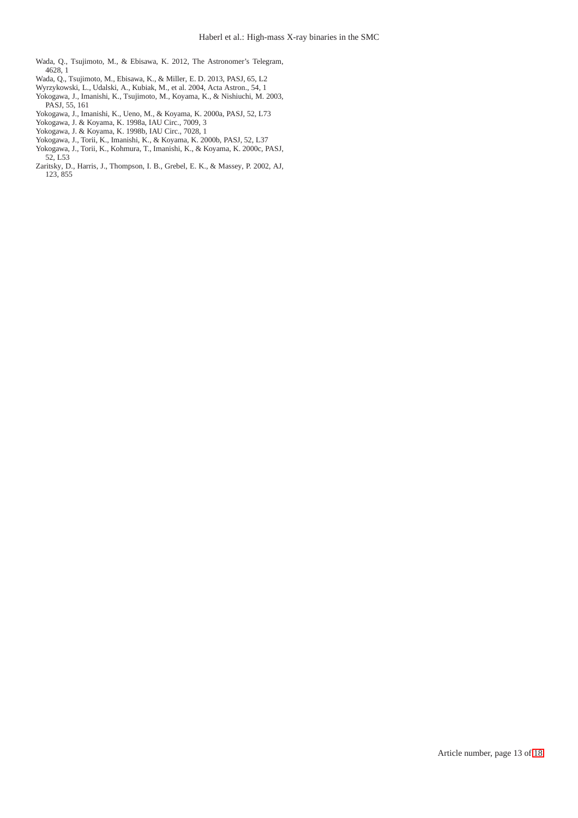- <span id="page-12-3"></span>Wada, Q., Tsujimoto, M., & Ebisawa, K. 2012, The Astronomer's Telegram, 4628, 1
- <span id="page-12-4"></span>Wada, Q., Tsujimoto, M., Ebisawa, K., & Miller, E. D. 2013, PASJ, 65, L2
- <span id="page-12-2"></span>Wyrzykowski, L., Udalski, A., Kubiak, M., et al. 2004, Acta Astron., 54, 1
- <span id="page-12-5"></span>Yokogawa, J., Imanishi, K., Tsujimoto, M., Koyama, K., & Nishiuchi, M. 2003, PASJ, 55, 161
- <span id="page-12-6"></span>Yokogawa, J., Imanishi, K., Ueno, M., & Koyama, K. 2000a, PASJ, 52, L73
- <span id="page-12-7"></span>Yokogawa, J. & Koyama, K. 1998a, IAU Circ., 7009, 3
- <span id="page-12-1"></span>Yokogawa, J. & Koyama, K. 1998b, IAU Circ., 7028, 1
- <span id="page-12-8"></span>Yokogawa, J., Torii, K., Imanishi, K., & Koyama, K. 2000b, PASJ, 52, L37
- <span id="page-12-9"></span>Yokogawa, J., Torii, K., Kohmura, T., Imanishi, K., & Koyama, K. 2000c, PASJ, 52, L53
- <span id="page-12-0"></span>Zaritsky, D., Harris, J., Thompson, I. B., Grebel, E. K., & Massey, P. 2002, AJ, 123, 855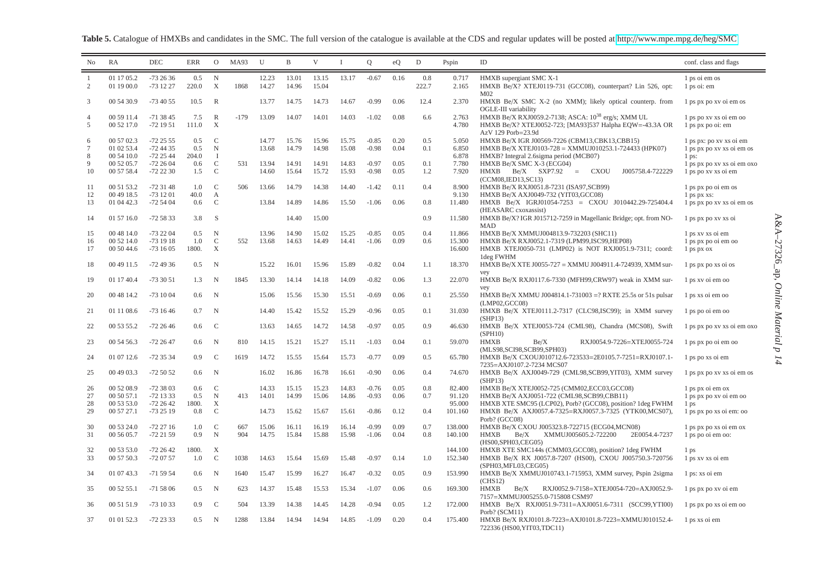Table 5. Catalogue of HMXBs and candidates in the SMC. The full version of the catalogue is available at the CDS and regular updates will be posted at http://www.mpe.mpg.de/heg/SMC

<span id="page-13-0"></span>

| N <sub>0</sub> | RA                       | <b>DEC</b>             | <b>ERR</b>    | $\overline{O}$                | MA93   | U     | $\mathbf B$ | V              | $\mathbf{I}$ | $\overline{Q}$ | eQ   | $\mathbf D$ | Pspin            | ID                                                                                               | conf. class and flags                   |
|----------------|--------------------------|------------------------|---------------|-------------------------------|--------|-------|-------------|----------------|--------------|----------------|------|-------------|------------------|--------------------------------------------------------------------------------------------------|-----------------------------------------|
| -1             | 01 17 05.2               | $-732636$              | 0.5           | $\mathbb N$                   |        | 12.23 | 13.01       | 13.15          | 13.17        | $-0.67$        | 0.16 | 0.8         | 0.717            | HMXB supergiant SMC X-1                                                                          | 1 ps oi em os                           |
| 2              | 01 19 00.0               | $-731227$              | 220.0         | $\boldsymbol{X}$              | 1868   | 14.27 | 14.96       | 15.04          |              |                |      | 222.7       | 2.165            | HMXB Be/X? XTEJ0119-731 (GCC08), counterpart? Lin 526, opt:<br>M <sub>02</sub>                   | 1 ps oi: em                             |
| 3              | 00 54 30.9               | $-734055$              | 10.5          | $\mathbb{R}$                  |        | 13.77 | 14.75       | 14.73          | 14.67        | $-0.99$        | 0.06 | 12.4        | 2.370            | HMXB Be/X SMC X-2 (no XMM); likely optical counterp. from<br>OGLE-III variability                | 1 ps px po xv oi em os                  |
| $\overline{4}$ | 00 59 11.4               | $-713845$              | 7.5           | $\mathbb{R}$                  | $-179$ | 13.09 | 14.07       | 14.01          | 14.03        | $-1.02$        | 0.08 | 6.6         | 2.763            | HMXB Be/X RXJ0059.2-7138; ASCA: 10 <sup>38</sup> erg/s; XMM UL                                   | 1 ps po xv xs oi em oo                  |
| 5              | 00 52 17.0               | $-721951$              | 111.0         | $\boldsymbol{\mathrm{X}}$     |        |       |             |                |              |                |      |             | 4.780            | HMXB Be/X? XTEJ0052-723; [MA93]537 Halpha EQW=-43.3A OR<br>AzV 129 Porb=23.9d                    | 1 ps px po oi: em                       |
| 6              | 00 57 02.3               | $-722555$              | 0.5           | $\mathcal{C}$                 |        | 14.77 | 15.76       | 15.96          | 15.75        | $-0.85$        | 0.20 | 0.5         | 5.050            | HMXB Be/X IGR J00569-7226 (CBM13,CBK13,CBB15)                                                    | 1 ps px: po xv xs oi em                 |
| $\overline{7}$ | 01 02 53.4               | $-724435$              | 0.5           | $\mathbf N$                   |        | 13.68 | 14.79       | 14.98          | 15.08        | $-0.98$        | 0.04 | 0.1         | 6.850            | HMXB Be/X XTEJ0103-728 = XMMUJ010253.1-724433 (HPK07)                                            | 1 ps px po xv xs oi em os               |
| 8              | 00 54 10.0               | $-722544$              | 204.0         | $\mathbf{I}$                  |        |       |             |                |              |                |      |             | 6.878            | HMXB? Integral 2.6 sigma period (MCB07)                                                          | $1$ ps:                                 |
| 9              | 00 52 05.7               | $-722604$              | 0.6           | $\mathcal{C}$                 | 531    | 13.94 | 14.91       | 14.91          | 14.83        | $-0.97$        | 0.05 | 0.1         | 7.780            | HMXB Be/X SMC X-3 (ECG04)                                                                        | 1 ps px po xv xs oi em oxo              |
| 10             | 00 57 58.4               | $-722230$              | 1.5           | $\mathcal{C}$                 |        | 14.60 | 15.64       | 15.72          | 15.93        | $-0.98$        | 0.05 | 1.2         | 7.920            | <b>HMXB</b><br>$Be/X$ SXP7.92<br>J005758.4-722229<br><b>CXOU</b><br>$=$<br>(CCM08, IED13, SC13)  | 1 ps po xv xs oi em                     |
| 11<br>12       | 00 51 53.2<br>00 49 18.5 | $-723148$<br>$-731201$ | 1.0<br>40.0   | $\mathcal{C}$<br>$\mathbf{A}$ | 506    | 13.66 | 14.79       | 14.38          | 14.40        | $-1.42$        | 0.11 | 0.4         | 8.900<br>9.130   | HMXB Be/X RXJ0051.8-7231 (ISA97, SCB99)<br>HMXB Be/X AXJ0049-732 (YIT03, GCC08)                  | 1 ps px po oi em os<br>1 ps px xs:      |
| 13             | 01 04 42.3               | $-725404$              | 0.6           | $\mathcal{C}$                 |        | 13.84 | 14.89       | 14.86          | 15.50        | $-1.06$        | 0.06 | 0.8         | 11.480           | HMXB Be/X IGRJ01054-7253 = CXOU J010442.29-725404.4                                              | 1 ps px po xv xs oi em os               |
| 14             | 01 57 16.0               | $-725833$              | 3.8           | S                             |        |       | 14.40       | 15.00          |              |                |      | 0.9         | 11.580           | (HEASARC cxoxassist)<br>HMXB Be/X? IGR J015712-7259 in Magellanic Bridge; opt. from NO-          | 1 ps px po xv xs oi                     |
|                | 00 48 14.0               | $-732204$              | 0.5           | N                             |        | 13.96 | 14.90       |                | 15.25        | $-0.85$        | 0.05 | 0.4         |                  | MAD                                                                                              |                                         |
| 15<br>16       | 00 52 14.0               | $-731918$              | 1.0           | $\mathcal{C}$                 | 552    | 13.68 | 14.63       | 15.02<br>14.49 | 14.41        | $-1.06$        | 0.09 | 0.6         | 11.866<br>15.300 | HMXB Be/X XMMUJ004813.9-732203 (SHC11)<br>HMXB Be/X RXJ0052.1-7319 (LPM99,ISC99,HEP08)           | 1 ps xv xs oi em<br>1 ps px po oi em oo |
| 17             | 00 50 44.6               | $-731605$              | 1800.         | $\boldsymbol{\mathrm{X}}$     |        |       |             |                |              |                |      |             | 16.600           | HMXB XTEJ0050-731 (LMP02) is NOT RXJ0051.9-7311; coord:<br>1deg FWHM                             | 1 ps px ox                              |
| 18             | 00 49 11.5               | $-724936$              | 0.5           | $\mathbf N$                   |        | 15.22 | 16.01       | 15.96          | 15.89        | $-0.82$        | 0.04 | 1.1         | 18.370           | HMXB Be/X XTE J0055-727 = XMMU J004911.4-724939, XMM sur-<br>vey                                 | 1 ps px po xs oi os                     |
| 19             | 01 17 40.4               | $-733051$              | 1.3           | N                             | 1845   | 13.30 | 14.14       | 14.18          | 14.09        | $-0.82$        | 0.06 | 1.3         | 22.070           | HMXB Be/X RXJ0117.6-7330 (MFH99,CRW97) weak in XMM sur-<br>vev                                   | 1 ps xv oi em oo                        |
| 20             | 00 48 14.2               | $-731004$              | 0.6           | N                             |        | 15.06 | 15.56       | 15.30          | 15.51        | $-0.69$        | 0.06 | 0.1         | 25.550           | HMXB Be/X XMMU J004814.1-731003 =? RXTE 25.5s or 51s pulsar<br>(LMP02,GCC08)                     | 1 ps xs oi em oo                        |
| 21             | 01 11 08.6               | $-731646$              | 0.7           | $\mathbf N$                   |        | 14.40 | 15.42       | 15.52          | 15.29        | $-0.96$        | 0.05 | 0.1         | 31.030           | HMXB Be/X XTEJ0111.2-7317 (CLC98,ISC99); in XMM survey<br>(SHP13)                                | 1 ps po oi em oo                        |
| 22             | 00 53 55.2               | $-722646$              | 0.6           | C                             |        | 13.63 | 14.65       | 14.72          | 14.58        | $-0.97$        | 0.05 | 0.9         | 46.630           | HMXB Be/X XTEJ0053-724 (CML98), Chandra (MCS08), Swift<br>(SPH10)                                | 1 ps px po xv xs oi em oxo              |
| 23             | 00 54 56.3               | $-722647$              | 0.6           | $\mathbf N$                   | 810    | 14.15 | 15.21       | 15.27          | 15.11        | $-1.03$        | 0.04 | 0.1         | 59.070           | <b>HMXB</b><br>Be/X<br>RXJ0054.9-7226=XTEJ0055-724<br>(MLS98,SCI98,SCB99,SPH03)                  | 1 ps px po oi em oo                     |
| 24             | 01 07 12.6               | $-723534$              | 0.9           | C                             | 1619   | 14.72 | 15.55       | 15.64          | 15.73        | $-0.77$        | 0.09 | 0.5         | 65.780           | HMXB Be/X CXOUJ010712.6-723533=2E0105.7-7251=RXJ0107.1-<br>7235=AXJ0107.2-7234 MCS07             | 1 ps po xs oi em                        |
| 25             | 00 49 03.3               | $-725052$              | 0.6           | N                             |        | 16.02 | 16.86       | 16.78          | 16.61        | $-0.90$        | 0.06 | 0.4         | 74.670           | HMXB Be/X AXJ0049-729 (CML98,SCB99,YIT03), XMM survey<br>(SHP13)                                 | 1 ps px po xv xs oi em os               |
| 26             | 00 52 08.9               | $-723803$              | 0.6           | $\mathcal{C}$                 |        | 14.33 | 15.15       | 15.23          | 14.83        | $-0.76$        | 0.05 | 0.8         | 82.400           | HMXB Be/X XTEJ0052-725 (CMM02,ECC03,GCC08)                                                       | 1 ps px oi em ox                        |
| 27             | 00 50 57.1               | $-721333$              | 0.5           | N                             | 413    | 14.01 | 14.99       | 15.06          | 14.86        | $-0.93$        | 0.06 | 0.7         | 91.120           | HMXB Be/X AXJ0051-722 (CML98,SCB99,CBB11)                                                        | 1 ps px po xv oi em oo                  |
| 28             | 00 53 53.0               | $-722642$              | 1800.         | X                             |        |       |             |                |              |                |      |             | 95.000           | HMXB XTE SMC95 (LCP02), Porb? (GCC08), position? 1deg FWHM                                       | 1 ps                                    |
| 29             | 00 57 27.1               | $-732519$              | 0.8           | $\mathsf C$                   |        | 14.73 | 15.62       | 15.67          | 15.61        | $-0.86$        | 0.12 | 0.4         | 101.160          | HMXB Be/X AXJ0057.4-7325=RXJ0057.3-7325 (YTK00,MCS07),<br>Porb? (GCC08)                          | 1 ps px po xs oi em: oo                 |
| 30             | 00 53 24.0               | $-722716$              | 1.0           | $\mathcal{C}$                 | 667    | 15.06 | 16.11       | 16.19          | 16.14        | $-0.99$        | 0.09 | 0.7         | 138.000          | HMXB Be/X CXOU J005323.8-722715 (ECG04, MCN08)                                                   | 1 ps px po xs oi em ox                  |
| 31             | 00 56 05.7               | $-722159$              | 0.9           | N                             | 904    | 14.75 | 15.84       | 15.88          | 15.98        | $-1.06$        | 0.04 | 0.8         | 140.100          | <b>HMXB</b><br>Be/X<br>XMMUJ005605.2-722200<br>2E0054.4-7237<br>(HS00,SPH03,CEG05)               | 1 ps po oi em oo:                       |
| 32             | 00 53 53.0               | $-722642$              | 1800.         | X                             |        |       |             |                |              |                |      |             | 144.100          | HMXB XTE SMC144s (CMM03, GCC08), position? 1deg FWHM                                             | 1 <sub>ps</sub>                         |
| 33             | 00 57 50.3               | $-720757$              | 1.0           | $\mathcal{C}$                 | 1038   | 14.63 | 15.64       | 15.69          | 15.48        | $-0.97$        | 0.14 | 1.0         | 152.340          | HMXB Be/X RX J0057.8-7207 (HS00), CXOU J005750.3-720756<br>(SPH03, MFL03, CEG05)                 | 1 ps xv xs oi em                        |
| 34             | 01 07 43.3               | $-715954$              | 0.6           | N                             | 1640   | 15.47 | 15.99       | 16.27          | 16.47        | $-0.32$        | 0.05 | 0.9         | 153.990          | HMXB Be/X XMMUJ010743.1-715953, XMM survey, Pspin 2sigma<br>(CHS12)                              | 1 ps: xs oi em                          |
| 35             | 00 52 55.1               | $-715806$              | $0.5^{\circ}$ | $\mathbf N$                   | 623    | 14.37 | 15.48       | 15.53          | 15.34        | $-1.07$        | 0.06 | 0.6         | 169.300          | <b>HMXB</b><br>RXJ0052.9-7158=XTEJ0054-720=AXJ0052.9-<br>Be/X<br>7157=XMMUJ005255.0-715808 CSM97 | 1 ps px po xv oi em                     |
| 36             | 00 51 51.9               | $-731033$              | 0.9           | $\mathcal{C}$                 | 504    | 13.39 | 14.38       | 14.45          | 14.28        | $-0.94$        | 0.05 | 1.2         | 172.000          | HMXB Be/X RXJ0051.9-7311=AXJ0051.6-7311 (SCC99,YTI00)<br>Porb? (SCM11)                           | 1 ps px po xs oi em oo                  |
| 37             | 01 01 52.3               | $-722333$              | $0.5^{\circ}$ | $\mathbf N$                   | 1288   | 13.84 | 14.94       | 14.94          | 14.85        | $-1.09$        | 0.20 | 0.4         | 175.400          | HMXB Be/X RXJ0101.8-7223=AXJ0101.8-7223=XMMUJ010152.4-<br>722336 (HS00, YIT03, TDC11)            | 1 ps xs oi em                           |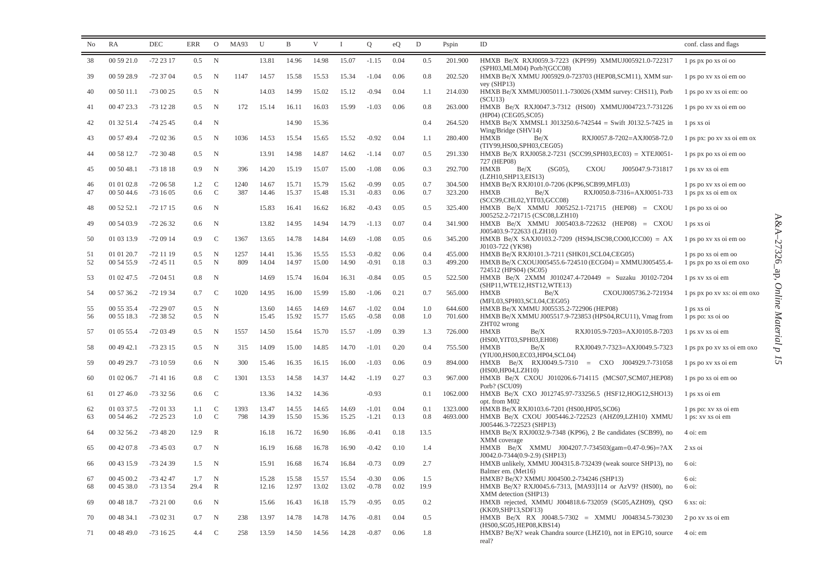| No       | RA                       | DEC                    | <b>ERR</b>    | $\Omega$         | MA93        | U              | B              | V              | $\mathbf{I}$   | $\mathcal{O}$      | eQ           | $\mathbf D$ | Pspin              | ID                                                                                                        | conf. class and flags                          |
|----------|--------------------------|------------------------|---------------|------------------|-------------|----------------|----------------|----------------|----------------|--------------------|--------------|-------------|--------------------|-----------------------------------------------------------------------------------------------------------|------------------------------------------------|
| 38       | 00 59 21.0               | $-722317$              | 0.5           | $\mathbf N$      |             | 13.81          | 14.96          | 14.98          | 15.07          | $-1.15$            | 0.04         | 0.5         | 201.900            | HMXB Be/X RXJ0059.3-7223 (KPF99) XMMUJ005921.0-722317<br>(SPH03,MLM04) Porb?(GCC08)                       | $1$ ps px po xs oi oo                          |
| 39       | 00 59 28.9               | $-723704$              | 0.5           | $\mathbf N$      | 1147        | 14.57          | 15.58          | 15.53          | 15.34          | $-1.04$            | 0.06         | 0.8         | 202.520            | HMXB Be/X XMMU J005929.0-723703 (HEP08,SCM11), XMM sur-<br>vey (SHP13)                                    | 1 ps po xv xs oi em oo                         |
| 40       | 00 50 11.1               | $-730025$              | 0.5           | N                |             | 14.03          | 14.99          | 15.02          | 15.12          | $-0.94$            | 0.04         | 1.1         | 214.030            | HMXB Be/X XMMUJ005011.1-730026 (XMM survey: CHS11), Porb<br>(SCU13)                                       | 1 ps po xv xs oi em: oo                        |
| 41       | 00 47 23.3               | $-731228$              | 0.5           | N                | 172         | 15.14          | 16.11          | 16.03          | 15.99          | $-1.03$            | 0.06         | 0.8         | 263.000            | HMXB Be/X RXJ0047.3-7312 (HS00) XMMUJ004723.7-731226<br>(HP04) (CEG05, SC05)                              | 1 ps po xv xs oi em oo                         |
| 42       | 01 32 51.4               | $-742545$              | 0.4           | N                |             |                | 14.90          | 15.36          |                |                    |              | 0.4         | 264.520            | HMXB Be/X XMMSL1 J013250.6-742544 = Swift J0132.5-7425 in<br>Wing/Bridge (SHV14)                          | 1 ps xs oi                                     |
| 43       | 00 57 49.4               | $-720236$              | $0.5^{\circ}$ | N                | 1036        | 14.53          | 15.54          | 15.65          | 15.52          | $-0.92$            | 0.04         | 1.1         | 280.400            | HMXB<br>Be/X<br>RXJ0057.8-7202=AXJ0058-72.0<br>(TIY99,HS00,SPH03,CEG05)                                   | 1 ps px: po xv xs oi em ox                     |
| 44       | 00 58 12.7               | $-723048$              | 0.5           | N                |             | 13.91          | 14.98          | 14.87          | 14.62          | $-1.14$            | 0.07         | 0.5         | 291.330            | HMXB Be/X RXJ0058.2-7231 (SCC99,SPH03,EC03) = XTEJ0051-<br>727 (HEP08)                                    | 1 ps px po xs oi em oo                         |
| 45       | 00 50 48.1               | $-731818$              | 0.9           | N                | 396         | 14.20          | 15.19          | 15.07          | 15.00          | $-1.08$            | 0.06         | 0.3         | 292.700            | <b>HMXB</b><br>Be/X<br>$(SG05)$ ,<br><b>CXOU</b><br>J005047.9-731817<br>(LZH10, SHP13, EIS13)             | 1 ps xv xs oi em                               |
| 46       | 01 01 02.8               | $-720658$              | 1.2           | C                | 1240        | 14.67          | 15.71          | 15.79          | 15.62          | $-0.99$            | 0.05         | 0.7         | 304.500            | HMXB Be/X RXJ0101.0-7206 (KP96,SCB99,MFL03)                                                               | 1 ps po xv xs oi em oo                         |
| 47       | 00 50 44.6               | $-731605$              | 0.6           | $\mathcal{C}$    | 387         | 14.46          | 15.37          | 15.48          | 15.31          | $-0.83$            | 0.06         | 0.7         | 323.200            | <b>HMXB</b><br>Be/X<br>RXJ0050.8-7316=AXJ0051-733<br>(SCC99,CHL02,YIT03,GCC08)                            | 1 ps px xs oi em ox                            |
| 48       | 00 52 52.1               | $-721715$              | 0.6           | N                |             | 15.83          | 16.41          | 16.62          | 16.82          | $-0.43$            | 0.05         | 0.5         | 325.400            | HMXB Be/X XMMU J005252.1-721715 (HEP08) = CXOU<br>J005252.2-721715 (CSC08,LZH10)                          | 1 ps po xs oi oo                               |
| 49       | 00 54 03.9               | $-722632$              | 0.6           | $\mathbf N$      |             | 13.82          | 14.95          | 14.94          | 14.79          | $-1.13$            | 0.07         | 0.4         | 341.900            | HMXB Be/X XMMU J005403.8-722632 (HEP08) = CXOU<br>J005403.9-722633 (LZH10)                                | 1 ps xs oi                                     |
| 50       | 01 03 13.9               | $-720914$              | 0.9           | C                | 1367        | 13.65          | 14.78          | 14.84          | 14.69          | $-1.08$            | 0.05         | 0.6         | 345.200            | HMXB Be/X SAXJ0103.2-7209 (HS94,ISC98,CO00,ICC00) = AX<br>J0103-722 (YK98)                                | 1 ps po xv xs oi em oo                         |
| 51<br>52 | 01 01 20.7<br>00 54 55.9 | $-721119$<br>$-724511$ | 0.5<br>0.5    | $\mathbf N$<br>N | 1257<br>809 | 14.41<br>14.04 | 15.36<br>14.97 | 15.55<br>15.00 | 15.53<br>14.90 | $-0.82$<br>$-0.91$ | 0.06<br>0.18 | 0.4<br>0.3  | 455.000<br>499.200 | HMXB Be/X RXJ0101.3-7211 (SHK01, SCL04, CEG05)<br>HMXB Be/X CXOUJ005455.6-724510 (ECG04) = XMMUJ005455.4- | 1 ps po xs oi em oo<br>1 ps px po xs oi em oxo |
| 53       | 01 02 47.5               | $-720451$              | 0.8           | $\mathbf N$      |             | 14.69          | 15.74          | 16.04          | 16.31          | $-0.84$            | 0.05         | 0.5         | 522.500            | 724512 (HPS04) (SC05)<br>HMXB Be/X 2XMM J010247.4-720449 = Suzaku J0102-7204                              | 1 ps xv xs oi em                               |
| 54       | 00 57 36.2               | $-721934$              | 0.7           | $\mathcal{C}$    | 1020        | 14.95          | 16.00          | 15.99          | 15.80          | $-1.06$            | 0.21         | 0.7         | 565.000            | (SHP11,WTE12,HST12,WTE13)<br><b>HMXB</b><br>CXOUJ005736.2-721934<br>Be/X                                  | 1 ps px po xv xs: oi em oxo                    |
|          |                          |                        |               |                  |             |                |                |                |                |                    |              |             |                    | (MFL03,SPH03,SCL04,CEG05)                                                                                 |                                                |
| 55<br>56 | 00 55 35.4<br>00 55 18.3 | $-722907$<br>-72 38 52 | 0.5<br>0.5    | N<br>$\mathbf N$ |             | 13.60<br>15.45 | 14.65<br>15.92 | 14.69<br>15.77 | 14.67<br>15.65 | $-1.02$<br>$-0.58$ | 0.04<br>0.08 | 1.0<br>1.0  | 644.600<br>701.600 | HMXB Be/X XMMU J005535.2-722906 (HEP08)<br>HMXB Be/X XMMU J005517.9-723853 (HPS04,RCU11), Vmag from       | 1 ps xs oi<br>1 ps po: xs oi oo                |
| 57       | 01 05 55.4               | -72 03 49              | 0.5           | $\mathbf N$      | 1557        | 14.50          | 15.64          | 15.70          | 15.57          | $-1.09$            | 0.39         | 1.3         | 726.000            | ZHT02 wrong<br><b>HMXB</b><br>Be/X<br>RXJ0105.9-7203=AXJ0105.8-7203<br>(HS00, YIT03, SPH03, EH08)         | 1 ps xv xs oi em                               |
| 58       | 00 49 42.1               | $-732315$              | 0.5           | N                | 315         | 14.09          | 15.00          | 14.85          | 14.70          | $-1.01$            | 0.20         | 0.4         | 755.500            | <b>HMXB</b><br>Be/X<br>RXJ0049.7-7323=AXJ0049.5-7323<br>(YIU00,HS00,EC03,HP04,SCL04)                      | 1 ps px po xv xs oi em oxo                     |
| 59       | 00 49 29.7               | $-731059$              | 0.6           | $_{\rm N}$       | 300         | 15.46          | 16.35          | 16.15          | 16.00          | $-1.03$            | 0.06         | 0.9         | 894.000            | HMXB Be/X RXJ0049.5-7310 = CXO J004929.7-731058<br>(HS00, HP04, LZH10)                                    | 1 ps po xv xs oi em                            |
| 60       | 01 02 06.7               | $-714116$              | 0.8           | C                | 1301        | 13.53          | 14.58          | 14.37          | 14.42          | $-1.19$            | 0.27         | 0.3         | 967.000            | HMXB Be/X CXOU J010206.6-714115 (MCS07, SCM07, HEP08)<br>Porb? (SCU09)                                    | 1 ps po xs oi em oo                            |
| 61       | 01 27 46.0               | $-733256$              | 0.6           | $\mathbf C$      |             | 13.36          | 14.32          | 14.36          |                | $-0.93$            |              | 0.1         | 1062.000           | HMXB Be/X CXO J012745.97-733256.5 (HSF12, HOG12, SHO13)<br>opt. from M02                                  | 1 ps xs oi em                                  |
| 62       | 01 03 37.5               | $-720133$              | 1.1           | C                | 1393        | 13.47          | 14.55          | 14.65          | 14.69          | $-1.01$            | 0.04         | 0.1         | 1323.000           | HMXB Be/X RXJ0103.6-7201 (HS00, HP05, SC06)                                                               | 1 ps po: xv xs oi em                           |
| 63       | 00 54 46.2               | $-722523$              | 1.0           | $\mathcal{C}$    | 798         | 14.39          | 15.50          | 15.36          | 15.25          | $-1.21$            | 0.13         | 0.8         | 4693.000           | HMXB Be/X CXOU J005446.2-722523 (AHZ09,LZH10) XMMU<br>J005446.3-722523 (SHP13)                            | 1 ps: xv xs oi em                              |
| 64       | 00 32 56.2               | $-734820$              | 12.9          | R                |             | 16.18          | 16.72          | 16.90          | 16.86          | $-0.41$            | 0.18         | 13.5        |                    | HMXB Be/X RXJ0032.9-7348 (KP96), 2 Be candidates (SCB99), no<br>XMM coverage                              | 4 oi: em                                       |
| 65       | 00 42 07.8               | $-734503$              | 0.7           | N                |             | 16.19          | 16.68          | 16.78          | 16.90          | $-0.42$            | 0.10         | 1.4         |                    | HMXB Be/X XMMU J004207.7-734503(gam=0.47-0.96)=?AX<br>J0042.0-7344(0.9-2.9) (SHP13)                       | 2 xs oi                                        |
| 66       | 00 43 15.9               | $-732439$              | 1.5           | N                |             | 15.91          | 16.68          | 16.74          | 16.84          | $-0.73$            | 0.09         | 2.7         |                    | HMXB unlikely, XMMU J004315.8-732439 (weak source SHP13), no<br>Balmer em. (Met16)                        | 6 oi:                                          |
| 67       | 00 45 00.2               | $-734247$              | 1.7           | N                |             | 15.28          | 15.58          | 15.57          | 15.54          | $-0.30$            | 0.06         | 1.5         |                    | HMXB? Be/X? XMMU J004500.2-734246 (SHP13)                                                                 | 6 oi:                                          |
| 68       | 00 45 38.0               | $-731354$              | 29.4          | $\mathbb{R}$     |             | 12.16          | 12.97          | 13.02          | 13.02          | $-0.78$            | 0.02         | 19.9        |                    | HMXB Be/X? RXJ0045.6-7313, [MA93]114 or AzV9? (HS00), no<br>XMM detection (SHP13)                         | 6 oi:                                          |
| 69       | 00 48 18.7               | $-732100$              | 0.6           | N                |             | 15.66          | 16.43          | 16.18          | 15.79          | $-0.95$            | 0.05         | 0.2         |                    | HMXB rejected, XMMU J004818.6-732059 (SG05,AZH09), QSO<br>(KK09,SHP13,SDF13)                              | 6 xs: oi:                                      |
| 70       | 00 48 34.1               | $-730231$              | 0.7           | N                | 238         | 13.97          | 14.78          | 14.78          | 14.76          | $-0.81$            | 0.04         | 0.5         |                    | HMXB Be/X RX J0048.5-7302 = XMMU J004834.5-730230<br>(HS00.SG05.HEP08.KBS14)                              | 2 po xv xs oi em                               |
| 71       | 00 48 49.0               | $-731625$              | 4.4           | C <sub>c</sub>   | 258         | 13.59          | 14.50          | 14.56          | 14.28          | $-0.87$            | 0.06         | 1.8         |                    | HMXB? Be/X? weak Chandra source (LHZ10), not in EPG10, source<br>real?                                    | 4 oi: em                                       |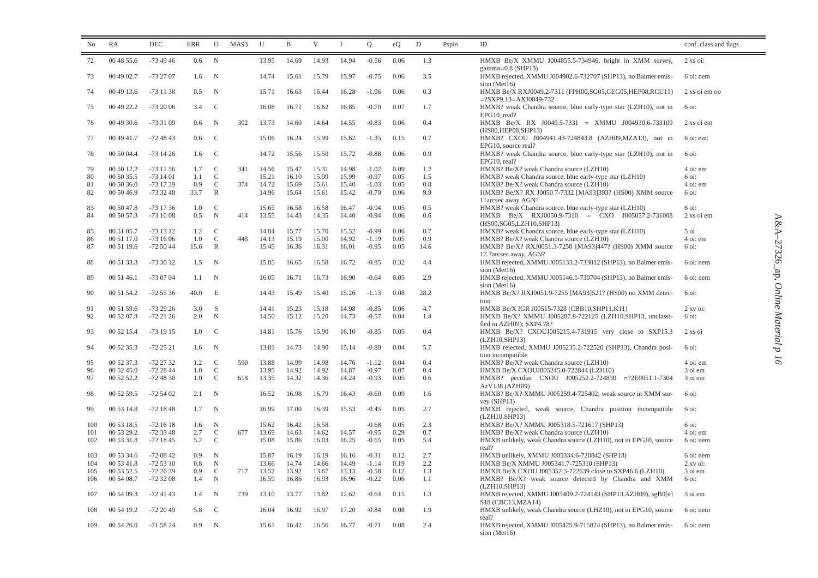| N <sub>o</sub> | RA         | DEC       | ERR           | $\mathcal{O}$  | MA93 | U     | $\mathbf{B}$   | V     | $\bf{I}$ | $\mathbf Q$ | eQ           | $\mathbf D$ | Pspin | ID                                                                                                   | conf. class and flags |
|----------------|------------|-----------|---------------|----------------|------|-------|----------------|-------|----------|-------------|--------------|-------------|-------|------------------------------------------------------------------------------------------------------|-----------------------|
| 72             | 00 48 55.6 | $-734946$ | $0.6^{\circ}$ | N              |      | 13.95 | 14.69          | 14.93 | 14.94    | $-0.56$     | 0.06         | 1.3         |       | HMXB Be/X XMMU J004855.5-734946, bright in XMM survey,                                               | $2$ xs oi:            |
| 73             | 00 49 02.7 | -73 27 07 | 1.6           | N              |      | 14.74 | 15.61          | 15.79 | 15.97    | $-0.75$     | 0.06         | 3.5         |       | $gamma=0.8$ (SHP13)<br>HMXB rejected, XMMU J004902.6-732707 (SHP13), no Balmer emis-<br>sion (Met16) | 6 oi: nem             |
| 74             | 00 49 13.6 | $-731138$ | 0.5           | $\mathbf N$    |      | 15.71 | 16.63          | 16.44 | 16.28    | $-1.06$     | 0.06         | 0.3         |       | HMXB Be/X RXJ0049.2-7311 (FPH00,SG05,CEG05,HEP08,RCU11)<br>$=$ ?SXP9.13=AXJ0049-732                  | 2 xs oi em oo         |
| 75             | 00 49 22.2 | $-732006$ | 3.4           | $\mathcal{C}$  |      | 16.08 | 16.71          | 16.62 | 16.85    | $-0.70$     | 0.07         | 1.7         |       | HMXB? weak Chandra source, blue early-type star (LZH10), not in<br>EPG10, real?                      | 6 oi:                 |
| 76             | 00 49 30.6 | $-733109$ | 0.6           | N              | 302  | 13.73 | 14.60          | 14.64 | 14.55    | $-0.83$     | 0.06         | 0.4         |       | HMXB Be/X RX J0049.5-7331 = XMMU J004930.6-733109<br>(HS00.HEP08.SHP13)                              | 2 xs oi em            |
| 77             | 00 49 41.7 | $-724843$ | $0.6^{\circ}$ | $\mathcal{C}$  |      | 15.06 | 16.24          | 15.99 | 15.62    | $-1.35$     | 0.15         | 0.7         |       | HMXB? CXOU J004941.43-724843.8 (AZH09, MZA13), not in<br>EPG10, source real?                         | 6 oi: em:             |
| 78             | 00 50 04.4 | $-731426$ | 1.6           | <sup>-</sup> C |      | 14.72 | 15.56          | 15.50 | 15.72    | $-0.88$     | 0.06         | 0.9         |       | HMXB? weak Chandra source, blue early-type star (LZH10), not in<br>EPG10, real?                      | 6 oi:                 |
| 79             | 00 50 12.2 | $-731156$ | 1.7           | C              | 341  | 14.56 | 15.47          | 15.31 | 14.98    | $-1.02$     | 0.09         | 1.2         |       | HMXB? Be/X? weak Chandra source (LZH10)                                                              | 4 oi: em              |
| 80             | 00 50 35.5 | $-731401$ | 1.1           | $\mathcal{C}$  |      | 15.21 | 16.10          | 15.99 | 15.99    | $-0.97$     | 0.05         | 1.5         |       | HMXB? weak Chandra source, blue early-type star (LZH10)                                              | 6 oi:                 |
| 81             | 00 50 36.0 | -73 17 39 | 0.9           | $\mathsf{C}$   | 374  | 14.72 | 15.69          | 15.61 | 15.40    | $-1.03$     | 0.05         | 0.8         |       | HMXB? Be/X? weak Chandra source (LZH10)                                                              | 4 oi: em              |
| 82             | 00 50 46.9 | $-733248$ | 33.7          | $\mathbb{R}$   |      | 14.96 | 15.64          | 15.61 | 15.42    | $-0.70$     | 0.06         | 9.9         |       | HMXB? Be/X? RX J0050.7-7332 [MA93]393? (HS00) XMM source<br>11arcsec away AGN?                       | 6 oi:                 |
| 83             | 00 50 47.8 | $-731736$ | 1.0           | $\mathcal{C}$  |      | 15.65 | 16.58          | 16.58 | 16.47    | $-0.94$     | 0.05         | 0.5         |       | HMXB? weak Chandra source, blue early-type star (LZH10)                                              | 6 oi:                 |
| 84             | 00 50 57.3 | $-731008$ | 0.5           | N              | 414  | 13.55 | 14.43          | 14.35 | 14.40    | $-0.94$     | 0.06         | 0.6         |       | HMXB Be/X RXJ0050.9-7310 = CXO J005057.2-731008<br>(HS00,SG05,LZH10,SHP13)                           | 2 xs oi em            |
| 85             | 00 51 05.7 | $-731312$ | 1.2           | $\mathsf{C}$   |      | 14.84 | 15.77          | 15.70 | 15.52    | $-0.99$     | 0.06         | 0.7         |       | HMXB? weak Chandra source, blue early-type star (LZH10)                                              | 5 oi                  |
| 86             | 00 51 17.0 | $-731606$ | 1.0           | $\mathcal{C}$  | 448  | 14.13 | 15.19          | 15.00 | 14.92    | $-1.19$     | 0.05         | 0.9         |       | HMXB? Be/X? weak Chandra source (LZH10)                                                              | 4 oi: em              |
| 87             | 00 51 19.6 | $-725044$ | 15.6          | $\mathbb{R}$   |      | 15.45 | 16.36          | 16.31 | 16.01    | $-0.95$     | 0.05         | 14.6        |       | HMXB? Be/X? RXJ0051.3-7250 [MA93]447? (HS00) XMM source<br>17.7arcsec away, AGN?                     | 6 oi:                 |
| 88             | 00 51 33.3 | -73 30 12 | 1.5           | N              |      | 15.85 | 16.65          | 16.58 | 16.72    | $-0.85$     | 0.32         | 4.4         |       | HMXB rejected, XMMU J005133.2-733012 (SHP13), no Balmer emis-<br>sion (Met16)                        | 6 oi: nem             |
| 89             | 00 51 46.1 | -73 07 04 | 1.1           | $\mathbf N$    |      | 16.05 | 16.71          | 16.73 | 16.90    | $-0.64$     | 0.05         | 2.9         |       | HMXB rejected, XMMU J005146.1-730704 (SHP13), no Balmer emis-<br>sion (Met16)                        | 6 oi: nem             |
| 90             | 00 51 54.2 | $-725536$ | 40.0          | $\mathbf E$    |      | 14.43 | 15.49          | 15.40 | 15.26    | $-1.13$     | 0.08         | 28.2        |       | HMXB Be/X? RXJ0051.9-7255 [MA93]521? (HS00) no XMM detec-<br>tion                                    | 6 oi:                 |
| 91             | 00 51 59.6 | $-732926$ | 3.0           | <sub>S</sub>   |      | 14.41 | 15.23          | 15.18 | 14.98    | $-0.85$     | 0.06         | 4.7         |       | HMXB Be/X IGR J00515-7328 (CBB10, SHP11, K11)                                                        | 2 xv oi:              |
| 92             | 00 52 07.8 | $-722126$ | 2.0           | N              |      | 14.50 | 15.12          | 15.20 | 14.73    | $-0.57$     | 0.04         | 1.4         |       | HMXB Be/X? XMMU J005207.8-722125 (LZH10, SHP13, unclassi-<br>fied in AZH09); SXP4.78?                | 6 oi:                 |
| 93             | 00 52 15.4 | $-731915$ | 1.0           | $\mathcal{C}$  |      | 14.81 | 15.76          | 15.90 | 16.10    | $-0.85$     | 0.05         | 0.4         |       | HMXB Be/X? CXOUJ005215.4-731915 very close to SXP15.3<br>(LZH10, SHP13)                              | 2 xs oi               |
| 94             | 00 52 35.3 | $-722521$ | 1.6           | $\mathbf N$    |      | 13.81 | 14.73          | 14.90 | 15.14    | $-0.80$     | 0.04         | 5.7         |       | HMXB rejected, XMMU J005235.2-722520 (SHP13), Chandra posi-<br>tion incompatible                     | 6 oi:                 |
| 95             | 00 52 37.3 | $-722732$ | 1.2           | $\mathsf{C}$   | 590  | 13.88 | 14.99          | 14.98 | 14.76    | $-1.12$     | 0.04         | 0.4         |       | HMXB? Be/X? weak Chandra source (LZH10)                                                              | 4 oi: em              |
| 96             | 00 52 45.0 | $-722844$ | 1.0           | $\mathcal{C}$  |      | 13.95 | 14.92          | 14.92 | 14.87    | $-0.97$     | 0.07         | 0.4         |       | HMXB Be/X CXOUJ005245.0-722844 (LZH10)                                                               | 3 oi em               |
| 97             | 00 52 52.2 | $-724830$ | 1.0           | $\mathcal{C}$  | 618  | 13.35 | 14.32          | 14.36 | 14.24    | $-0.93$     | 0.05         | 0.6         |       | HMXB? peculiar CXOU J005252.2-724830 = ?2E0051.1-7304<br>AzV138 (AZH09)                              | 3 oi em               |
| 98             | 00 52 59.5 | $-725402$ | 2.1           | $\mathbf N$    |      | 16.52 | 16.98          | 16.79 | 16.43    | $-0.60$     | 0.09         | 1.6         |       | HMXB? Be/X? XMMU J005259.4-725402; weak source in XMM sur-<br>vev(SHP13)                             | 6 oi:                 |
| 99<br>100      | 00 53 14.8 | $-721848$ | 1.7           | N<br>N         |      | 16.99 | 17.00<br>16.42 | 16.39 | 15.53    | $-0.45$     | 0.05<br>0.05 | 2.7<br>2.3  |       | HMXB rejected, weak source, Chandra position incompatible<br>(LZH10.SHP13)                           | 6 oi:<br>6 oi:        |
|                | 00 53 18.5 | $-721618$ | 1.6           |                |      | 15.62 |                | 16.58 |          | $-0.68$     |              |             |       | HMXB? Be/X? XMMU J005318.5-721617 (SHP13)                                                            |                       |
| 101            | 00 53 29.2 | $-723348$ | 2.7           | $\mathsf{C}$   | 677  | 13.69 | 14.63          | 14.62 | 14.57    | $-0.95$     | 0.29         | 0.7         |       | HMXB? Be/X? weak Chandra source (LZH10)                                                              | 4 oi: em              |
| 102            | 00 53 31.8 | $-721845$ | 5.2           | $\mathbf C$    |      | 15.08 | 15.86          | 16.03 | 16.25    | $-0.65$     | 0.05         | 5.4         |       | HMXB unlikely, weak Chandra source (LZH10), not in EPG10, source<br>real?                            | 6 oi: nem             |
| 103            | 00 53 34.6 | $-720842$ | 0.9           | $_{\rm N}$     |      | 15.87 | 16.19          | 16.19 | 16.16    | $-0.31$     | 0.12         | 2.7         |       | HMXB unlikely, XMMU J005334.6-720842 (SHP13)                                                         | 6 oi: nem             |
| 104            | 00 53 41.8 | $-725310$ | 0.8           | N              |      | 13.66 | 14.74          | 14.66 | 14.49    | $-1.14$     | 0.19         | 2.2         |       | HMXB Be/X XMMU J005341.7-725310 (SHP13)                                                              | $2$ xv oi:            |
| 105            | 00 53 52.5 | $-722639$ | 0.9           | $\mathsf{C}$   | 717  | 13.52 | 13.92          | 13.67 | 13.13    | $-0.58$     | 0.12         | 1.3         |       | HMXB Be/X CXOU J005352.5-722639 close to SXP46.6 (LZH10)                                             | 3 oi em               |
| 106            | 00 54 08.7 | $-723208$ | 1.4           | N              |      | 16.59 | 16.86          | 16.93 | 16.96    | $-0.22$     | 0.06         | 1.1         |       | HMXB? Be/X? weak source detected by Chandra and XMM<br>(LZH10, SHP13)                                | 6 oi:                 |
| 107            | 00 54 09.3 | $-724143$ | 1.4           | N              | 739  | 13.10 | 13.77          | 13.82 | 12.62    | $-0.64$     | 0.15         | 1.3         |       | HMXB rejected, XMMU J005409.2-724143 (SHP13, AZH09), sgB0[e]<br>S18 (CBC13, MZA14)                   | 3 oi em               |
| 108            | 00 54 19.2 | $-722049$ | 5.8           | C              |      | 16.04 | 16.92          | 16.97 | 17.20    | $-0.84$     | 0.08         | 1.9         |       | HMXB unlikely, weak Chandra source (LHZ10), not in EPG10, source<br>real?                            | 6 oi: nem             |
| 109            | 00 54 26.0 | $-715824$ | 0.9           | $\mathbf N$    |      | 15.61 | 16.42          | 16.56 | 16.77    | $-0.71$     | 0.08         | 2.4         |       | HMXB rejected, XMMU J005425.9-715824 (SHP13), no Balmer emis-<br>sion (Met16)                        | 6 oi: nem             |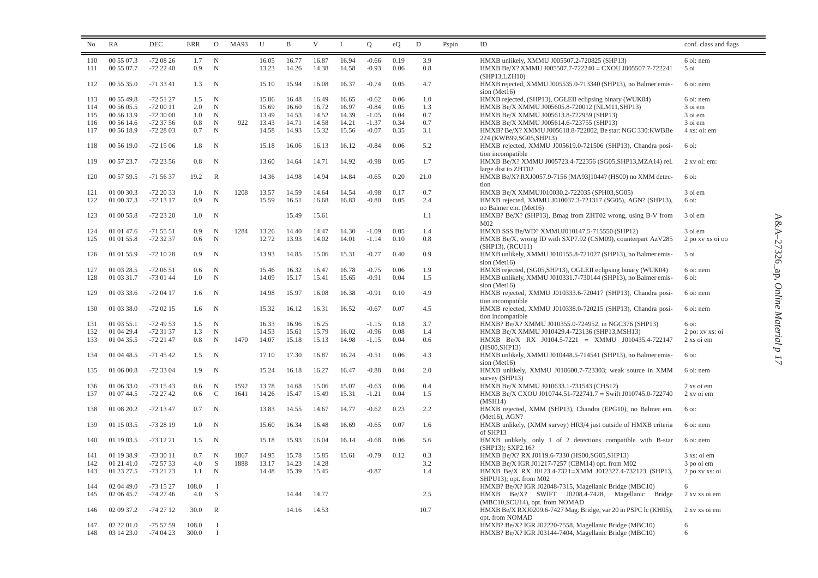| 00 55 07.3<br>$\mathbf N$<br>16.94<br>$-0.66$<br>0.19<br>3.9<br>110<br>$-720826$<br>1.7<br>16.05<br>16.77<br>16.87<br>HMXB unlikely, XMMU J005507.2-720825 (SHP13)<br>6 oi: nem<br>N<br>14.58<br>$-0.93$<br>0.06<br>0.8<br>00 55 07.7<br>$-722240$<br>0.9<br>13.23<br>14.26<br>14.38<br>HMXB Be/X? XMMU J005507.7-722240 = CXOU J005507.7-722241<br>5 oi<br>111<br>(SHP13, LZH10)<br>4.7<br>112<br>00 55 35.0<br>$-713341$<br>1.3<br>$\mathbf N$<br>15.10<br>15.94<br>16.08<br>16.37<br>$-0.74$<br>0.05<br>HMXB rejected, XMMU J005535.0-713340 (SHP13), no Balmer emis-<br>6 oi: nem<br>sion (Met16)<br>0.06<br>113<br>00 55 49.8<br>$-725127$<br>1.5<br>N<br>15.86<br>16.48<br>16.49<br>16.65<br>$-0.62$<br>1.0<br>HMXB rejected, (SHP13), OGLEII eclipsing binary (WUK04)<br>6 oi: nem<br>$-0.84$<br>00 56 05.5<br>$-720011$<br>2.0<br>$\mathbf N$<br>16.60<br>16.72<br>16.97<br>0.05<br>1.3<br>HMXB Be/X XMMU J005605.8-720012 (NLM11,SHP13)<br>3 oi em<br>114<br>15.69<br>115<br>00 56 13.9<br>$-723000$<br>1.0<br>$\mathbf N$<br>13.49<br>14.53<br>14.52<br>14.39<br>$-1.05$<br>0.04<br>0.7<br>HMXB Be/X XMMU J005613.8-722959 (SHP13)<br>3 oi em<br>0.7<br>116<br>00 56 14.6<br>$-723756$<br>0.8<br>N<br>922<br>13.43<br>14.71<br>14.58<br>14.21<br>$-1.37$<br>0.34<br>HMXB Be/X XMMU J005614.6-723755 (SHP13)<br>3 oi em<br>-72 28 03<br>$\mathbf N$<br>14.93<br>15.32<br>15.56<br>$-0.07$<br>0.35<br>3.1<br>117<br>00 56 18.9<br>0.7<br>14.58<br>HMXB? Be/X? XMMU J005618.8-722802, Be star: NGC 330: KWBBe<br>4 xs: oi: em<br>224 (KWB99,SG05,SHP13)<br>$-721506$<br>N<br>16.06<br>16.12<br>$-0.84$<br>0.06<br>5.2<br>HMXB rejected, XMMU J005619.0-721506 (SHP13), Chandra posi-<br>118<br>00 56 19.0<br>1.8<br>15.18<br>16.13<br>6 oi:<br>tion incompatible<br>00 57 23.7<br>$-722356$<br>N<br>13.60<br>14.64<br>14.71<br>14.92<br>$-0.98$<br>0.05<br>1.7<br>HMXB Be/X? XMMU J005723.4-722356 (SG05,SHP13,MZA14) rel.<br>119<br>0.8<br>2 xv oi: em:<br>large dist to ZHT02<br>14.98<br>14.84<br>120<br>00 57 59.5<br>$-715637$<br>19.2<br>$\mathbb{R}$<br>14.36<br>14.94<br>$-0.65$<br>0.20<br>21.0<br>HMXB Be/X? RXJ0057.9-7156 [MA93]1044? (HS00) no XMM detec-<br>6 oi:<br>tion<br>1208<br>14.59<br>0.17<br>0.7<br>01 00 30.3<br>$-722033$<br>1.0<br>N<br>13.57<br>14.64<br>14.54<br>$-0.98$<br>HMXB Be/X XMMUJ010030.2-722035 (SPH03,SG05)<br>3 oi em<br>121<br>01 00 37.3<br>$-721317$<br>0.9<br>$\mathbf N$<br>15.59<br>16.51<br>16.83<br>$-0.80$<br>0.05<br>2.4<br>HMXB rejected, XMMU J010037.3-721317 (SG05), AGN? (SHP13),<br>122<br>16.68<br>6 oi:<br>no Balmer em. (Met16)<br>123<br>01 00 55.8<br>-72 23 20<br>$\mathbf N$<br>15.49<br>HMXB? Be/X? (SHP13), Bmag from ZHT02 wrong, using B-V from<br>3 oi em<br>1.0<br>15.61<br>1.1<br>M <sub>02</sub><br>1284<br>14.30<br>$-1.09$<br>0.05<br>1.4<br>3 oi em<br>01 01 47.6<br>$-715551$<br>0.9<br>N<br>13.26<br>14.40<br>14.47<br>HMXB SSS Be/WD? XMMUJ010147.5-715550 (SHP12)<br>124<br>125<br>-72 32 37<br>0.6<br>$\mathbf N$<br>12.72<br>13.93<br>14.02<br>14.01<br>$-1.14$<br>0.10<br>0.8<br>HMXB Be/X, wrong ID with SXP7.92 (CSM09), counterpart AzV285<br>01 01 55.8<br>2 po xv xs oi oo<br>$(SHP13)$ , $(RCU11)$<br>01 01 55.9<br>$-721028$<br>0.9<br>$\mathbf N$<br>13.93<br>14.85<br>15.06<br>15.31<br>$-0.77$<br>0.40<br>0.9<br>HMXB unlikely, XMMU J010155.8-721027 (SHP13), no Balmer emis-<br>5 oi<br>126<br>sion (Met16)<br>16.32<br>1.9<br>127<br>01 03 28.5<br>$-720651$<br>0.6<br>$\mathbf N$<br>15.46<br>16.47<br>16.78<br>$-0.75$<br>0.06<br>HMXB rejected, (SG05,SHP13), OGLEII eclipsing binary (WUK04)<br>6 oi: nem<br>01 03 31.7<br>$-730144$<br>1.0<br>14.09<br>15.17<br>15.41<br>15.65<br>$-0.91$<br>0.04<br>1.5<br>HMXB unlikely, XMMU J010331.7-730144 (SHP13), no Balmer emis-<br>6 oi:<br>128<br>N<br>sion (Met16) | conf. class and flags |
|---------------------------------------------------------------------------------------------------------------------------------------------------------------------------------------------------------------------------------------------------------------------------------------------------------------------------------------------------------------------------------------------------------------------------------------------------------------------------------------------------------------------------------------------------------------------------------------------------------------------------------------------------------------------------------------------------------------------------------------------------------------------------------------------------------------------------------------------------------------------------------------------------------------------------------------------------------------------------------------------------------------------------------------------------------------------------------------------------------------------------------------------------------------------------------------------------------------------------------------------------------------------------------------------------------------------------------------------------------------------------------------------------------------------------------------------------------------------------------------------------------------------------------------------------------------------------------------------------------------------------------------------------------------------------------------------------------------------------------------------------------------------------------------------------------------------------------------------------------------------------------------------------------------------------------------------------------------------------------------------------------------------------------------------------------------------------------------------------------------------------------------------------------------------------------------------------------------------------------------------------------------------------------------------------------------------------------------------------------------------------------------------------------------------------------------------------------------------------------------------------------------------------------------------------------------------------------------------------------------------------------------------------------------------------------------------------------------------------------------------------------------------------------------------------------------------------------------------------------------------------------------------------------------------------------------------------------------------------------------------------------------------------------------------------------------------------------------------------------------------------------------------------------------------------------------------------------------------------------------------------------------------------------------------------------------------------------------------------------------------------------------------------------------------------------------------------------------------------------------------------------------------------------------------------------------------------------------------------------------------------------------------------------------------------------------------------------------------------------------------------------------------------------------------------------------------------|-----------------------|
|                                                                                                                                                                                                                                                                                                                                                                                                                                                                                                                                                                                                                                                                                                                                                                                                                                                                                                                                                                                                                                                                                                                                                                                                                                                                                                                                                                                                                                                                                                                                                                                                                                                                                                                                                                                                                                                                                                                                                                                                                                                                                                                                                                                                                                                                                                                                                                                                                                                                                                                                                                                                                                                                                                                                                                                                                                                                                                                                                                                                                                                                                                                                                                                                                                                                                                                                                                                                                                                                                                                                                                                                                                                                                                                                                                                                                           |                       |
|                                                                                                                                                                                                                                                                                                                                                                                                                                                                                                                                                                                                                                                                                                                                                                                                                                                                                                                                                                                                                                                                                                                                                                                                                                                                                                                                                                                                                                                                                                                                                                                                                                                                                                                                                                                                                                                                                                                                                                                                                                                                                                                                                                                                                                                                                                                                                                                                                                                                                                                                                                                                                                                                                                                                                                                                                                                                                                                                                                                                                                                                                                                                                                                                                                                                                                                                                                                                                                                                                                                                                                                                                                                                                                                                                                                                                           |                       |
|                                                                                                                                                                                                                                                                                                                                                                                                                                                                                                                                                                                                                                                                                                                                                                                                                                                                                                                                                                                                                                                                                                                                                                                                                                                                                                                                                                                                                                                                                                                                                                                                                                                                                                                                                                                                                                                                                                                                                                                                                                                                                                                                                                                                                                                                                                                                                                                                                                                                                                                                                                                                                                                                                                                                                                                                                                                                                                                                                                                                                                                                                                                                                                                                                                                                                                                                                                                                                                                                                                                                                                                                                                                                                                                                                                                                                           |                       |
|                                                                                                                                                                                                                                                                                                                                                                                                                                                                                                                                                                                                                                                                                                                                                                                                                                                                                                                                                                                                                                                                                                                                                                                                                                                                                                                                                                                                                                                                                                                                                                                                                                                                                                                                                                                                                                                                                                                                                                                                                                                                                                                                                                                                                                                                                                                                                                                                                                                                                                                                                                                                                                                                                                                                                                                                                                                                                                                                                                                                                                                                                                                                                                                                                                                                                                                                                                                                                                                                                                                                                                                                                                                                                                                                                                                                                           |                       |
|                                                                                                                                                                                                                                                                                                                                                                                                                                                                                                                                                                                                                                                                                                                                                                                                                                                                                                                                                                                                                                                                                                                                                                                                                                                                                                                                                                                                                                                                                                                                                                                                                                                                                                                                                                                                                                                                                                                                                                                                                                                                                                                                                                                                                                                                                                                                                                                                                                                                                                                                                                                                                                                                                                                                                                                                                                                                                                                                                                                                                                                                                                                                                                                                                                                                                                                                                                                                                                                                                                                                                                                                                                                                                                                                                                                                                           |                       |
|                                                                                                                                                                                                                                                                                                                                                                                                                                                                                                                                                                                                                                                                                                                                                                                                                                                                                                                                                                                                                                                                                                                                                                                                                                                                                                                                                                                                                                                                                                                                                                                                                                                                                                                                                                                                                                                                                                                                                                                                                                                                                                                                                                                                                                                                                                                                                                                                                                                                                                                                                                                                                                                                                                                                                                                                                                                                                                                                                                                                                                                                                                                                                                                                                                                                                                                                                                                                                                                                                                                                                                                                                                                                                                                                                                                                                           |                       |
|                                                                                                                                                                                                                                                                                                                                                                                                                                                                                                                                                                                                                                                                                                                                                                                                                                                                                                                                                                                                                                                                                                                                                                                                                                                                                                                                                                                                                                                                                                                                                                                                                                                                                                                                                                                                                                                                                                                                                                                                                                                                                                                                                                                                                                                                                                                                                                                                                                                                                                                                                                                                                                                                                                                                                                                                                                                                                                                                                                                                                                                                                                                                                                                                                                                                                                                                                                                                                                                                                                                                                                                                                                                                                                                                                                                                                           |                       |
|                                                                                                                                                                                                                                                                                                                                                                                                                                                                                                                                                                                                                                                                                                                                                                                                                                                                                                                                                                                                                                                                                                                                                                                                                                                                                                                                                                                                                                                                                                                                                                                                                                                                                                                                                                                                                                                                                                                                                                                                                                                                                                                                                                                                                                                                                                                                                                                                                                                                                                                                                                                                                                                                                                                                                                                                                                                                                                                                                                                                                                                                                                                                                                                                                                                                                                                                                                                                                                                                                                                                                                                                                                                                                                                                                                                                                           |                       |
|                                                                                                                                                                                                                                                                                                                                                                                                                                                                                                                                                                                                                                                                                                                                                                                                                                                                                                                                                                                                                                                                                                                                                                                                                                                                                                                                                                                                                                                                                                                                                                                                                                                                                                                                                                                                                                                                                                                                                                                                                                                                                                                                                                                                                                                                                                                                                                                                                                                                                                                                                                                                                                                                                                                                                                                                                                                                                                                                                                                                                                                                                                                                                                                                                                                                                                                                                                                                                                                                                                                                                                                                                                                                                                                                                                                                                           |                       |
|                                                                                                                                                                                                                                                                                                                                                                                                                                                                                                                                                                                                                                                                                                                                                                                                                                                                                                                                                                                                                                                                                                                                                                                                                                                                                                                                                                                                                                                                                                                                                                                                                                                                                                                                                                                                                                                                                                                                                                                                                                                                                                                                                                                                                                                                                                                                                                                                                                                                                                                                                                                                                                                                                                                                                                                                                                                                                                                                                                                                                                                                                                                                                                                                                                                                                                                                                                                                                                                                                                                                                                                                                                                                                                                                                                                                                           |                       |
|                                                                                                                                                                                                                                                                                                                                                                                                                                                                                                                                                                                                                                                                                                                                                                                                                                                                                                                                                                                                                                                                                                                                                                                                                                                                                                                                                                                                                                                                                                                                                                                                                                                                                                                                                                                                                                                                                                                                                                                                                                                                                                                                                                                                                                                                                                                                                                                                                                                                                                                                                                                                                                                                                                                                                                                                                                                                                                                                                                                                                                                                                                                                                                                                                                                                                                                                                                                                                                                                                                                                                                                                                                                                                                                                                                                                                           |                       |
|                                                                                                                                                                                                                                                                                                                                                                                                                                                                                                                                                                                                                                                                                                                                                                                                                                                                                                                                                                                                                                                                                                                                                                                                                                                                                                                                                                                                                                                                                                                                                                                                                                                                                                                                                                                                                                                                                                                                                                                                                                                                                                                                                                                                                                                                                                                                                                                                                                                                                                                                                                                                                                                                                                                                                                                                                                                                                                                                                                                                                                                                                                                                                                                                                                                                                                                                                                                                                                                                                                                                                                                                                                                                                                                                                                                                                           |                       |
|                                                                                                                                                                                                                                                                                                                                                                                                                                                                                                                                                                                                                                                                                                                                                                                                                                                                                                                                                                                                                                                                                                                                                                                                                                                                                                                                                                                                                                                                                                                                                                                                                                                                                                                                                                                                                                                                                                                                                                                                                                                                                                                                                                                                                                                                                                                                                                                                                                                                                                                                                                                                                                                                                                                                                                                                                                                                                                                                                                                                                                                                                                                                                                                                                                                                                                                                                                                                                                                                                                                                                                                                                                                                                                                                                                                                                           |                       |
|                                                                                                                                                                                                                                                                                                                                                                                                                                                                                                                                                                                                                                                                                                                                                                                                                                                                                                                                                                                                                                                                                                                                                                                                                                                                                                                                                                                                                                                                                                                                                                                                                                                                                                                                                                                                                                                                                                                                                                                                                                                                                                                                                                                                                                                                                                                                                                                                                                                                                                                                                                                                                                                                                                                                                                                                                                                                                                                                                                                                                                                                                                                                                                                                                                                                                                                                                                                                                                                                                                                                                                                                                                                                                                                                                                                                                           |                       |
|                                                                                                                                                                                                                                                                                                                                                                                                                                                                                                                                                                                                                                                                                                                                                                                                                                                                                                                                                                                                                                                                                                                                                                                                                                                                                                                                                                                                                                                                                                                                                                                                                                                                                                                                                                                                                                                                                                                                                                                                                                                                                                                                                                                                                                                                                                                                                                                                                                                                                                                                                                                                                                                                                                                                                                                                                                                                                                                                                                                                                                                                                                                                                                                                                                                                                                                                                                                                                                                                                                                                                                                                                                                                                                                                                                                                                           |                       |
|                                                                                                                                                                                                                                                                                                                                                                                                                                                                                                                                                                                                                                                                                                                                                                                                                                                                                                                                                                                                                                                                                                                                                                                                                                                                                                                                                                                                                                                                                                                                                                                                                                                                                                                                                                                                                                                                                                                                                                                                                                                                                                                                                                                                                                                                                                                                                                                                                                                                                                                                                                                                                                                                                                                                                                                                                                                                                                                                                                                                                                                                                                                                                                                                                                                                                                                                                                                                                                                                                                                                                                                                                                                                                                                                                                                                                           |                       |
|                                                                                                                                                                                                                                                                                                                                                                                                                                                                                                                                                                                                                                                                                                                                                                                                                                                                                                                                                                                                                                                                                                                                                                                                                                                                                                                                                                                                                                                                                                                                                                                                                                                                                                                                                                                                                                                                                                                                                                                                                                                                                                                                                                                                                                                                                                                                                                                                                                                                                                                                                                                                                                                                                                                                                                                                                                                                                                                                                                                                                                                                                                                                                                                                                                                                                                                                                                                                                                                                                                                                                                                                                                                                                                                                                                                                                           |                       |
|                                                                                                                                                                                                                                                                                                                                                                                                                                                                                                                                                                                                                                                                                                                                                                                                                                                                                                                                                                                                                                                                                                                                                                                                                                                                                                                                                                                                                                                                                                                                                                                                                                                                                                                                                                                                                                                                                                                                                                                                                                                                                                                                                                                                                                                                                                                                                                                                                                                                                                                                                                                                                                                                                                                                                                                                                                                                                                                                                                                                                                                                                                                                                                                                                                                                                                                                                                                                                                                                                                                                                                                                                                                                                                                                                                                                                           |                       |
|                                                                                                                                                                                                                                                                                                                                                                                                                                                                                                                                                                                                                                                                                                                                                                                                                                                                                                                                                                                                                                                                                                                                                                                                                                                                                                                                                                                                                                                                                                                                                                                                                                                                                                                                                                                                                                                                                                                                                                                                                                                                                                                                                                                                                                                                                                                                                                                                                                                                                                                                                                                                                                                                                                                                                                                                                                                                                                                                                                                                                                                                                                                                                                                                                                                                                                                                                                                                                                                                                                                                                                                                                                                                                                                                                                                                                           |                       |
| 01 03 33.6<br>$-720417$<br>$\mathbf N$<br>15.97<br>16.08<br>16.38<br>$-0.91$<br>0.10<br>4.9<br>HMXB rejected, XMMU J010333.6-720417 (SHP13), Chandra posi-<br>129<br>1.6<br>14.98<br>6 oi: nem<br>tion incompatible                                                                                                                                                                                                                                                                                                                                                                                                                                                                                                                                                                                                                                                                                                                                                                                                                                                                                                                                                                                                                                                                                                                                                                                                                                                                                                                                                                                                                                                                                                                                                                                                                                                                                                                                                                                                                                                                                                                                                                                                                                                                                                                                                                                                                                                                                                                                                                                                                                                                                                                                                                                                                                                                                                                                                                                                                                                                                                                                                                                                                                                                                                                                                                                                                                                                                                                                                                                                                                                                                                                                                                                                       |                       |
| 16.52<br>130<br>01 03 38.0<br>$-720215$<br>N<br>15.32<br>16.12<br>16.31<br>$-0.67$<br>0.07<br>4.5<br>HMXB rejected, XMMU J010338.0-720215 (SHP13), Chandra posi-<br>6 oi: nem<br>1.6<br>tion incompatible                                                                                                                                                                                                                                                                                                                                                                                                                                                                                                                                                                                                                                                                                                                                                                                                                                                                                                                                                                                                                                                                                                                                                                                                                                                                                                                                                                                                                                                                                                                                                                                                                                                                                                                                                                                                                                                                                                                                                                                                                                                                                                                                                                                                                                                                                                                                                                                                                                                                                                                                                                                                                                                                                                                                                                                                                                                                                                                                                                                                                                                                                                                                                                                                                                                                                                                                                                                                                                                                                                                                                                                                                 |                       |
| $-724953$<br>N<br>16.96<br>16.25<br>3.7<br>6 oi:<br>131<br>01 03 55.1<br>1.5<br>16.33<br>$-1.15$<br>0.18<br>HMXB? Be/X? XMMU J010355.0-724952, in NGC376 (SHP13)                                                                                                                                                                                                                                                                                                                                                                                                                                                                                                                                                                                                                                                                                                                                                                                                                                                                                                                                                                                                                                                                                                                                                                                                                                                                                                                                                                                                                                                                                                                                                                                                                                                                                                                                                                                                                                                                                                                                                                                                                                                                                                                                                                                                                                                                                                                                                                                                                                                                                                                                                                                                                                                                                                                                                                                                                                                                                                                                                                                                                                                                                                                                                                                                                                                                                                                                                                                                                                                                                                                                                                                                                                                          |                       |
| -72 31 37<br>15.79<br>16.02<br>$-0.96$<br>0.08<br>1.4<br>132<br>01 04 29.4<br>1.3<br>N<br>14.53<br>15.61<br>HMXB Be/X XMMU J010429.4-723136 (SHP13, MSH13)<br>2 po: xv xs: oi                                                                                                                                                                                                                                                                                                                                                                                                                                                                                                                                                                                                                                                                                                                                                                                                                                                                                                                                                                                                                                                                                                                                                                                                                                                                                                                                                                                                                                                                                                                                                                                                                                                                                                                                                                                                                                                                                                                                                                                                                                                                                                                                                                                                                                                                                                                                                                                                                                                                                                                                                                                                                                                                                                                                                                                                                                                                                                                                                                                                                                                                                                                                                                                                                                                                                                                                                                                                                                                                                                                                                                                                                                             |                       |
| $-722147$<br>1470<br>15.18<br>14.98<br>0.04<br>133<br>01 04 35.5<br>0.8<br>$\mathbf N$<br>14.07<br>15.13<br>$-1.15$<br>0.6<br>HMXB Be/X RX J0104.5-7221 = XMMU J010435.4-722147<br>2 xs oi em<br>(HS00, SHP13)                                                                                                                                                                                                                                                                                                                                                                                                                                                                                                                                                                                                                                                                                                                                                                                                                                                                                                                                                                                                                                                                                                                                                                                                                                                                                                                                                                                                                                                                                                                                                                                                                                                                                                                                                                                                                                                                                                                                                                                                                                                                                                                                                                                                                                                                                                                                                                                                                                                                                                                                                                                                                                                                                                                                                                                                                                                                                                                                                                                                                                                                                                                                                                                                                                                                                                                                                                                                                                                                                                                                                                                                            |                       |
| 01 04 48.5<br>$-714542$<br>1.5<br>$\mathbf N$<br>17.10<br>17.30<br>16.87<br>16.24<br>$-0.51$<br>0.06<br>4.3<br>HMXB unlikely, XMMU J010448.5-714541 (SHP13), no Balmer emis-<br>6 oi:<br>134<br>sion (Met $16$ )                                                                                                                                                                                                                                                                                                                                                                                                                                                                                                                                                                                                                                                                                                                                                                                                                                                                                                                                                                                                                                                                                                                                                                                                                                                                                                                                                                                                                                                                                                                                                                                                                                                                                                                                                                                                                                                                                                                                                                                                                                                                                                                                                                                                                                                                                                                                                                                                                                                                                                                                                                                                                                                                                                                                                                                                                                                                                                                                                                                                                                                                                                                                                                                                                                                                                                                                                                                                                                                                                                                                                                                                          |                       |
| 01 06 00.8<br>$-723304$<br>$\mathbf N$<br>15.24<br>16.18<br>16.27<br>16.47<br>$-0.88$<br>0.04<br>2.0<br>HMXB unlikely, XMMU J010600.7-723303; weak source in XMM<br>135<br>1.9<br>6 oi: nem<br>survey (SHP13)                                                                                                                                                                                                                                                                                                                                                                                                                                                                                                                                                                                                                                                                                                                                                                                                                                                                                                                                                                                                                                                                                                                                                                                                                                                                                                                                                                                                                                                                                                                                                                                                                                                                                                                                                                                                                                                                                                                                                                                                                                                                                                                                                                                                                                                                                                                                                                                                                                                                                                                                                                                                                                                                                                                                                                                                                                                                                                                                                                                                                                                                                                                                                                                                                                                                                                                                                                                                                                                                                                                                                                                                             |                       |
| 0.4<br>01 06 33.0<br>$-731543$<br>1592<br>13.78<br>14.68<br>15.06<br>15.07<br>$-0.63$<br>0.06<br>HMXB Be/X XMMU J010633.1-731543 (CHS12)<br>136<br>0.6<br>N<br>2 xs oi em                                                                                                                                                                                                                                                                                                                                                                                                                                                                                                                                                                                                                                                                                                                                                                                                                                                                                                                                                                                                                                                                                                                                                                                                                                                                                                                                                                                                                                                                                                                                                                                                                                                                                                                                                                                                                                                                                                                                                                                                                                                                                                                                                                                                                                                                                                                                                                                                                                                                                                                                                                                                                                                                                                                                                                                                                                                                                                                                                                                                                                                                                                                                                                                                                                                                                                                                                                                                                                                                                                                                                                                                                                                 |                       |
| $-722742$<br>$\mathcal{C}$<br>1641<br>15.47<br>15.31<br>$-1.21$<br>0.04<br>1.5<br>137<br>01 07 44.5<br>0.6<br>14.26<br>15.49<br>HMXB Be/X CXOU J010744.51-722741.7 = Swift J010745.0-722740<br>2 xv oi em<br>(MSH14)                                                                                                                                                                                                                                                                                                                                                                                                                                                                                                                                                                                                                                                                                                                                                                                                                                                                                                                                                                                                                                                                                                                                                                                                                                                                                                                                                                                                                                                                                                                                                                                                                                                                                                                                                                                                                                                                                                                                                                                                                                                                                                                                                                                                                                                                                                                                                                                                                                                                                                                                                                                                                                                                                                                                                                                                                                                                                                                                                                                                                                                                                                                                                                                                                                                                                                                                                                                                                                                                                                                                                                                                      |                       |
| $-721347$<br>$\mathbf N$<br>13.83<br>14.55<br>14.67<br>14.77<br>$-0.62$<br>0.23<br>2.2<br>138<br>01 08 20.2<br>0.7<br>HMXB rejected, XMM (SHP13), Chandra (EPG10), no Balmer em.<br>6 oi:<br>$(Met16)$ , AGN?                                                                                                                                                                                                                                                                                                                                                                                                                                                                                                                                                                                                                                                                                                                                                                                                                                                                                                                                                                                                                                                                                                                                                                                                                                                                                                                                                                                                                                                                                                                                                                                                                                                                                                                                                                                                                                                                                                                                                                                                                                                                                                                                                                                                                                                                                                                                                                                                                                                                                                                                                                                                                                                                                                                                                                                                                                                                                                                                                                                                                                                                                                                                                                                                                                                                                                                                                                                                                                                                                                                                                                                                             |                       |
| 16.34<br>01 15 03.5<br>$-732819$<br>N<br>15.60<br>16.48<br>16.69<br>$-0.65$<br>0.07<br>HMXB unlikely, (XMM survey) HR3/4 just outside of HMXB criteria<br>6 oi: nem<br>139<br>1.0<br>1.6<br>of SHP13                                                                                                                                                                                                                                                                                                                                                                                                                                                                                                                                                                                                                                                                                                                                                                                                                                                                                                                                                                                                                                                                                                                                                                                                                                                                                                                                                                                                                                                                                                                                                                                                                                                                                                                                                                                                                                                                                                                                                                                                                                                                                                                                                                                                                                                                                                                                                                                                                                                                                                                                                                                                                                                                                                                                                                                                                                                                                                                                                                                                                                                                                                                                                                                                                                                                                                                                                                                                                                                                                                                                                                                                                      |                       |
| 01 19 03.5<br>$-731221$<br>15.18<br>15.93<br>16.04<br>16.14<br>$-0.68$<br>0.06<br>5.6<br>HMXB unlikely, only 1 of 2 detections compatible with B-star<br>6 oi: nem<br>140<br>1.5<br>N<br>(SHP13); SXP2.16?                                                                                                                                                                                                                                                                                                                                                                                                                                                                                                                                                                                                                                                                                                                                                                                                                                                                                                                                                                                                                                                                                                                                                                                                                                                                                                                                                                                                                                                                                                                                                                                                                                                                                                                                                                                                                                                                                                                                                                                                                                                                                                                                                                                                                                                                                                                                                                                                                                                                                                                                                                                                                                                                                                                                                                                                                                                                                                                                                                                                                                                                                                                                                                                                                                                                                                                                                                                                                                                                                                                                                                                                                |                       |
| 01 19 38.9<br>$-733011$<br>0.7<br>N<br>1867<br>14.95<br>15.78<br>15.85<br>15.61<br>$-0.79$<br>0.12<br>0.3<br>HMXB Be/X? RX J0119.6-7330 (HS00,SG05,SHP13)<br>141<br>3 xs: oi em                                                                                                                                                                                                                                                                                                                                                                                                                                                                                                                                                                                                                                                                                                                                                                                                                                                                                                                                                                                                                                                                                                                                                                                                                                                                                                                                                                                                                                                                                                                                                                                                                                                                                                                                                                                                                                                                                                                                                                                                                                                                                                                                                                                                                                                                                                                                                                                                                                                                                                                                                                                                                                                                                                                                                                                                                                                                                                                                                                                                                                                                                                                                                                                                                                                                                                                                                                                                                                                                                                                                                                                                                                           |                       |
| 1888<br>3.2<br>142<br>01 21 41.0<br>$-725733$<br>4.0<br>-S<br>13.17<br>14.23<br>14.28<br>HMXB Be/X IGR J01217-7257 (CBM14) opt. from M02<br>3 po oi em                                                                                                                                                                                                                                                                                                                                                                                                                                                                                                                                                                                                                                                                                                                                                                                                                                                                                                                                                                                                                                                                                                                                                                                                                                                                                                                                                                                                                                                                                                                                                                                                                                                                                                                                                                                                                                                                                                                                                                                                                                                                                                                                                                                                                                                                                                                                                                                                                                                                                                                                                                                                                                                                                                                                                                                                                                                                                                                                                                                                                                                                                                                                                                                                                                                                                                                                                                                                                                                                                                                                                                                                                                                                    |                       |
| 01 23 27.5<br>$\mathbb N$<br>$-0.87$<br>1.4<br>143<br>$-732123$<br>1.1<br>14.48<br>15.39<br>15.45<br>HMXB Be/X RX J0123.4-7321=XMM J012327.4-732123 (SHP13,<br>2 po xv xs: oi<br>SHPU13); opt. from M02                                                                                                                                                                                                                                                                                                                                                                                                                                                                                                                                                                                                                                                                                                                                                                                                                                                                                                                                                                                                                                                                                                                                                                                                                                                                                                                                                                                                                                                                                                                                                                                                                                                                                                                                                                                                                                                                                                                                                                                                                                                                                                                                                                                                                                                                                                                                                                                                                                                                                                                                                                                                                                                                                                                                                                                                                                                                                                                                                                                                                                                                                                                                                                                                                                                                                                                                                                                                                                                                                                                                                                                                                   |                       |
| 02 04 49.0<br>$-731527$<br>108.0<br>HMXB? Be/X? IGR J02048-7315, Magellanic Bridge (MBC10)<br>144<br>$\mathbf I$<br>6<br>02 06 45.7<br>$-742746$<br>4.0<br>S<br>14.77<br>2.5<br>HMXB Be/X? SWIFT J0208.4-7428, Magellanic Bridge<br>145<br>14.44<br>2 xv xs oi em                                                                                                                                                                                                                                                                                                                                                                                                                                                                                                                                                                                                                                                                                                                                                                                                                                                                                                                                                                                                                                                                                                                                                                                                                                                                                                                                                                                                                                                                                                                                                                                                                                                                                                                                                                                                                                                                                                                                                                                                                                                                                                                                                                                                                                                                                                                                                                                                                                                                                                                                                                                                                                                                                                                                                                                                                                                                                                                                                                                                                                                                                                                                                                                                                                                                                                                                                                                                                                                                                                                                                         |                       |
| (MBC10, SCU14), opt. from NOMAD                                                                                                                                                                                                                                                                                                                                                                                                                                                                                                                                                                                                                                                                                                                                                                                                                                                                                                                                                                                                                                                                                                                                                                                                                                                                                                                                                                                                                                                                                                                                                                                                                                                                                                                                                                                                                                                                                                                                                                                                                                                                                                                                                                                                                                                                                                                                                                                                                                                                                                                                                                                                                                                                                                                                                                                                                                                                                                                                                                                                                                                                                                                                                                                                                                                                                                                                                                                                                                                                                                                                                                                                                                                                                                                                                                                           |                       |
| 02 09 37.2<br>$-742712$<br>30.0<br>10.7<br>HMXB Be/X RXJ0209.6-7427 Mag. Bridge, var 20 in PSPC lc (KH05),<br>$\mathbb{R}$<br>14.16<br>14.53<br>146<br>2 xv xs oi em<br>opt. from NOMAD                                                                                                                                                                                                                                                                                                                                                                                                                                                                                                                                                                                                                                                                                                                                                                                                                                                                                                                                                                                                                                                                                                                                                                                                                                                                                                                                                                                                                                                                                                                                                                                                                                                                                                                                                                                                                                                                                                                                                                                                                                                                                                                                                                                                                                                                                                                                                                                                                                                                                                                                                                                                                                                                                                                                                                                                                                                                                                                                                                                                                                                                                                                                                                                                                                                                                                                                                                                                                                                                                                                                                                                                                                   |                       |
| 02 22 01.0<br>$-755759$<br>108.0<br>HMXB? Be/X? IGR J02220-7558, Magellanic Bridge (MBC10)<br>147<br>$\mathbf I$<br>6<br>148<br>03 14 23.0<br>$-740423$<br>300.0<br>HMXB? Be/X? IGR J03144-7404, Magellanic Bridge (MBC10)<br><b>I</b><br>6                                                                                                                                                                                                                                                                                                                                                                                                                                                                                                                                                                                                                                                                                                                                                                                                                                                                                                                                                                                                                                                                                                                                                                                                                                                                                                                                                                                                                                                                                                                                                                                                                                                                                                                                                                                                                                                                                                                                                                                                                                                                                                                                                                                                                                                                                                                                                                                                                                                                                                                                                                                                                                                                                                                                                                                                                                                                                                                                                                                                                                                                                                                                                                                                                                                                                                                                                                                                                                                                                                                                                                               |                       |